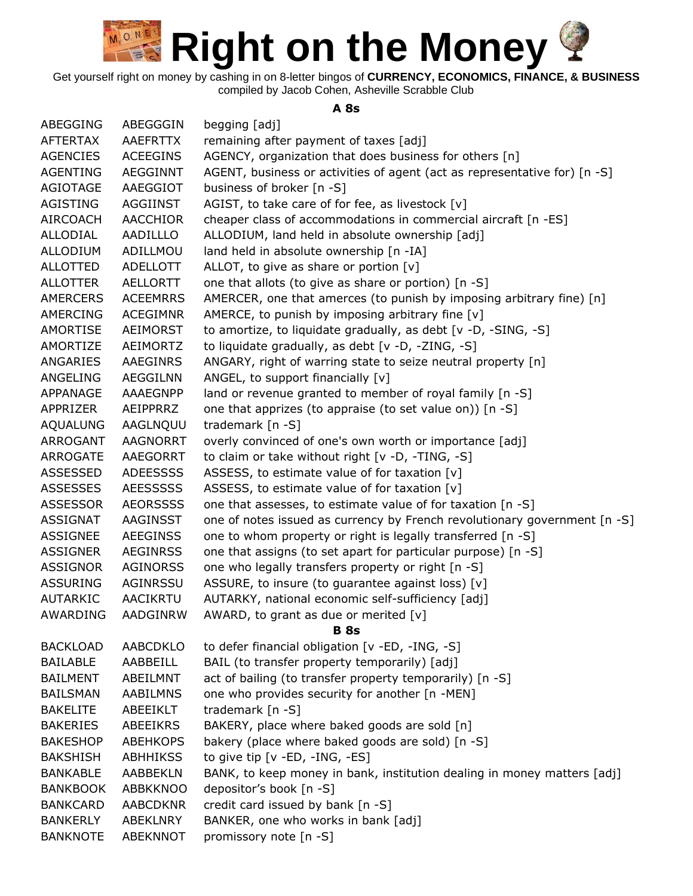Get yourself right on money by cashing in on 8-letter bingos of **CURRENCY, ECONOMICS, FINANCE, & BUSINESS** compiled by Jacob Cohen, Asheville Scrabble Club

#### **A 8s**

| ABEGGING        | ABEGGGIN        | begging [adj]                                                             |
|-----------------|-----------------|---------------------------------------------------------------------------|
| <b>AFTERTAX</b> | <b>AAEFRTTX</b> | remaining after payment of taxes [adj]                                    |
| AGENCIES        | <b>ACEEGINS</b> | AGENCY, organization that does business for others [n]                    |
| AGENTING        | AEGGINNT        | AGENT, business or activities of agent (act as representative for) [n -S] |
| <b>AGIOTAGE</b> | AAEGGIOT        | business of broker [n -S]                                                 |
| AGISTING        | AGGIINST        | AGIST, to take care of for fee, as livestock $[v]$                        |
| <b>AIRCOACH</b> | <b>AACCHIOR</b> | cheaper class of accommodations in commercial aircraft [n -ES]            |
| <b>ALLODIAL</b> | AADILLLO        | ALLODIUM, land held in absolute ownership [adj]                           |
| <b>ALLODIUM</b> | ADILLMOU        | land held in absolute ownership [n -IA]                                   |
| <b>ALLOTTED</b> | ADELLOTT        | ALLOT, to give as share or portion [v]                                    |
| <b>ALLOTTER</b> | AELLORTT        | one that allots (to give as share or portion) [n -S]                      |
| <b>AMERCERS</b> | <b>ACEEMRRS</b> | AMERCER, one that amerces (to punish by imposing arbitrary fine) [n]      |
| AMERCING        | <b>ACEGIMNR</b> | AMERCE, to punish by imposing arbitrary fine [v]                          |
| AMORTISE        | AEIMORST        | to amortize, to liquidate gradually, as debt [v -D, -SING, -S]            |
| AMORTIZE        | AEIMORTZ        | to liquidate gradually, as debt [v -D, -ZING, -S]                         |
| ANGARIES        | AAEGINRS        | ANGARY, right of warring state to seize neutral property [n]              |
| ANGELING        | <b>AEGGILNN</b> | ANGEL, to support financially $[v]$                                       |
| APPANAGE        | AAAEGNPP        | land or revenue granted to member of royal family [n -S]                  |
| APPRIZER        | AEIPPRRZ        | one that apprizes (to appraise (to set value on)) [n -S]                  |
| <b>AQUALUNG</b> | AAGLNQUU        | trademark [n -S]                                                          |
| ARROGANT        | <b>AAGNORRT</b> | overly convinced of one's own worth or importance [adj]                   |
| ARROGATE        | AAEGORRT        | to claim or take without right [v -D, -TING, -S]                          |
| ASSESSED        | <b>ADEESSSS</b> | ASSESS, to estimate value of for taxation [v]                             |
| <b>ASSESSES</b> | <b>AEESSSSS</b> | ASSESS, to estimate value of for taxation [v]                             |
| ASSESSOR        | <b>AEORSSSS</b> | one that assesses, to estimate value of for taxation [n -S]               |
| <b>ASSIGNAT</b> | AAGINSST        | one of notes issued as currency by French revolutionary government [n -S] |
| <b>ASSIGNEE</b> | AEEGINSS        | one to whom property or right is legally transferred [n -S]               |
| ASSIGNER        | <b>AEGINRSS</b> | one that assigns (to set apart for particular purpose) [n -S]             |
| ASSIGNOR        | <b>AGINORSS</b> | one who legally transfers property or right [n -S]                        |
| <b>ASSURING</b> | AGINRSSU        | ASSURE, to insure (to guarantee against loss) [v]                         |
| <b>AUTARKIC</b> | <b>AACIKRTU</b> | AUTARKY, national economic self-sufficiency [adj]                         |
| AWARDING        | AADGINRW        | AWARD, to grant as due or merited [v]                                     |
|                 |                 | <b>B</b> 8s                                                               |
| <b>BACKLOAD</b> | <b>AABCDKLO</b> | to defer financial obligation [v -ED, -ING, -S]                           |
| <b>BAILABLE</b> | AABBEILL        | BAIL (to transfer property temporarily) [adj]                             |
| <b>BAILMENT</b> | ABEILMNT        | act of bailing (to transfer property temporarily) [n -S]                  |
| <b>BAILSMAN</b> | <b>AABILMNS</b> | one who provides security for another [n -MEN]                            |
| <b>BAKELITE</b> | ABEEIKLT        | trademark [n -S]                                                          |
| <b>BAKERIES</b> | ABEEIKRS        | BAKERY, place where baked goods are sold [n]                              |
| <b>BAKESHOP</b> | <b>ABEHKOPS</b> | bakery (place where baked goods are sold) [n -S]                          |
| <b>BAKSHISH</b> | <b>ABHHIKSS</b> | to give tip [v -ED, -ING, -ES]                                            |
| <b>BANKABLE</b> | <b>AABBEKLN</b> | BANK, to keep money in bank, institution dealing in money matters [adj]   |
| <b>BANKBOOK</b> | <b>ABBKKNOO</b> | depositor's book [n -S]                                                   |
| <b>BANKCARD</b> | <b>AABCDKNR</b> | credit card issued by bank [n -S]                                         |
| <b>BANKERLY</b> | ABEKLNRY        | BANKER, one who works in bank [adj]                                       |
| <b>BANKNOTE</b> | ABEKNNOT        | promissory note [n -S]                                                    |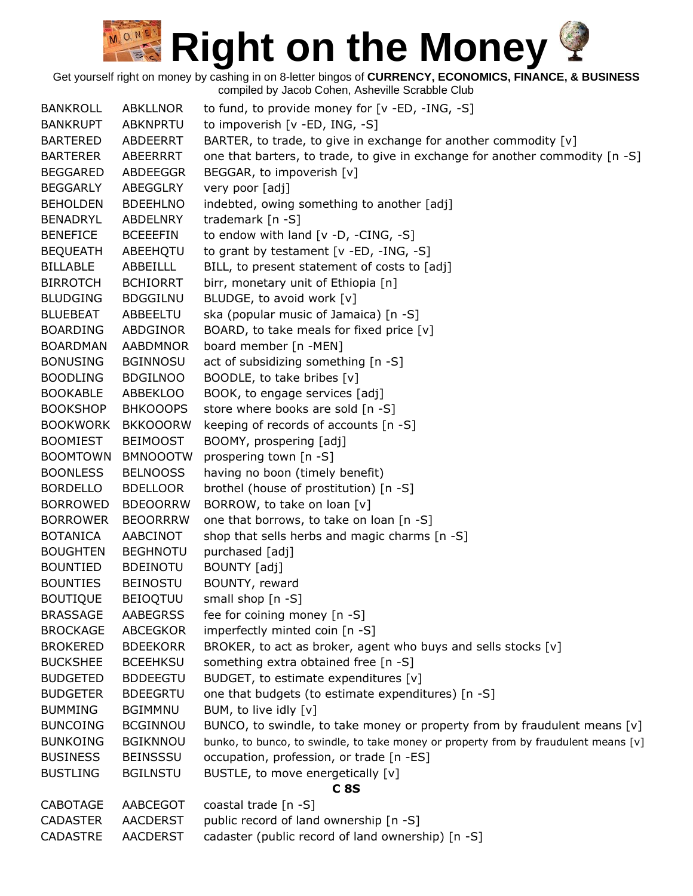| <b>BANKROLL</b> | <b>ABKLLNOR</b> | to fund, to provide money for [v -ED, -ING, -S]                                       |
|-----------------|-----------------|---------------------------------------------------------------------------------------|
| <b>BANKRUPT</b> | ABKNPRTU        | to impoverish [v -ED, ING, -S]                                                        |
| <b>BARTERED</b> | ABDEERRT        | BARTER, to trade, to give in exchange for another commodity [v]                       |
| <b>BARTERER</b> | ABEERRRT        | one that barters, to trade, to give in exchange for another commodity [n -S]          |
| <b>BEGGARED</b> | ABDEEGGR        | BEGGAR, to impoverish [v]                                                             |
| <b>BEGGARLY</b> | ABEGGLRY        | very poor [adj]                                                                       |
| <b>BEHOLDEN</b> | <b>BDEEHLNO</b> | indebted, owing something to another [adj]                                            |
| <b>BENADRYL</b> | ABDELNRY        | trademark $[n -S]$                                                                    |
| <b>BENEFICE</b> | <b>BCEEEFIN</b> | to endow with land $[v -D, -CING, -S]$                                                |
| <b>BEQUEATH</b> | ABEEHQTU        | to grant by testament [v -ED, -ING, -S]                                               |
| <b>BILLABLE</b> | ABBEILLL        | BILL, to present statement of costs to [adj]                                          |
| <b>BIRROTCH</b> | <b>BCHIORRT</b> | birr, monetary unit of Ethiopia [n]                                                   |
| <b>BLUDGING</b> | <b>BDGGILNU</b> | BLUDGE, to avoid work [v]                                                             |
| <b>BLUEBEAT</b> | ABBEELTU        | ska (popular music of Jamaica) [n -S]                                                 |
| <b>BOARDING</b> | ABDGINOR        | BOARD, to take meals for fixed price [v]                                              |
| <b>BOARDMAN</b> | <b>AABDMNOR</b> | board member [n -MEN]                                                                 |
| <b>BONUSING</b> | <b>BGINNOSU</b> | act of subsidizing something [n -S]                                                   |
| <b>BOODLING</b> | <b>BDGILNOO</b> | BOODLE, to take bribes [v]                                                            |
| <b>BOOKABLE</b> | ABBEKLOO        | BOOK, to engage services [adj]                                                        |
| <b>BOOKSHOP</b> | <b>BHKOOOPS</b> | store where books are sold [n -S]                                                     |
| <b>BOOKWORK</b> | <b>BKKOOORW</b> | keeping of records of accounts [n -S]                                                 |
| <b>BOOMIEST</b> | <b>BEIMOOST</b> | BOOMY, prospering [adj]                                                               |
| <b>BOOMTOWN</b> | <b>BMNOOOTW</b> | prospering town [n -S]                                                                |
| <b>BOONLESS</b> | <b>BELNOOSS</b> | having no boon (timely benefit)                                                       |
| <b>BORDELLO</b> | <b>BDELLOOR</b> | brothel (house of prostitution) [n -S]                                                |
| <b>BORROWED</b> | <b>BDEOORRW</b> | BORROW, to take on loan [v]                                                           |
| <b>BORROWER</b> | <b>BEOORRRW</b> | one that borrows, to take on loan [n -S]                                              |
| <b>BOTANICA</b> | AABCINOT        | shop that sells herbs and magic charms [n -S]                                         |
| <b>BOUGHTEN</b> | <b>BEGHNOTU</b> | purchased [adj]                                                                       |
| <b>BOUNTIED</b> | <b>BDEINOTU</b> | BOUNTY [adj]                                                                          |
| <b>BOUNTIES</b> | <b>BEINOSTU</b> | BOUNTY, reward                                                                        |
| <b>BOUTIQUE</b> | <b>BEIOQTUU</b> | small shop [n -S]                                                                     |
| <b>BRASSAGE</b> | <b>AABEGRSS</b> | fee for coining money [n -S]                                                          |
| <b>BROCKAGE</b> | <b>ABCEGKOR</b> | imperfectly minted coin [n -S]                                                        |
| <b>BROKERED</b> | <b>BDEEKORR</b> | BROKER, to act as broker, agent who buys and sells stocks [v]                         |
| <b>BUCKSHEE</b> | <b>BCEEHKSU</b> | something extra obtained free [n -S]                                                  |
| <b>BUDGETED</b> | <b>BDDEEGTU</b> | BUDGET, to estimate expenditures [v]                                                  |
| <b>BUDGETER</b> | <b>BDEEGRTU</b> | one that budgets (to estimate expenditures) [n -S]                                    |
| <b>BUMMING</b>  | <b>BGIMMNU</b>  | BUM, to live idly [v]                                                                 |
| <b>BUNCOING</b> | <b>BCGINNOU</b> | BUNCO, to swindle, to take money or property from by fraudulent means $[v]$           |
| <b>BUNKOING</b> | <b>BGIKNNOU</b> | bunko, to bunco, to swindle, to take money or property from by fraudulent means $[v]$ |
| <b>BUSINESS</b> | <b>BEINSSSU</b> | occupation, profession, or trade [n -ES]                                              |
| <b>BUSTLING</b> | <b>BGILNSTU</b> | BUSTLE, to move energetically [v]                                                     |
|                 |                 | <b>C8S</b>                                                                            |
| <b>CABOTAGE</b> | AABCEGOT        | coastal trade [n -S]                                                                  |
| <b>CADASTER</b> | <b>AACDERST</b> | public record of land ownership [n -S]                                                |
| <b>CADASTRE</b> | <b>AACDERST</b> | cadaster (public record of land ownership) [n -S]                                     |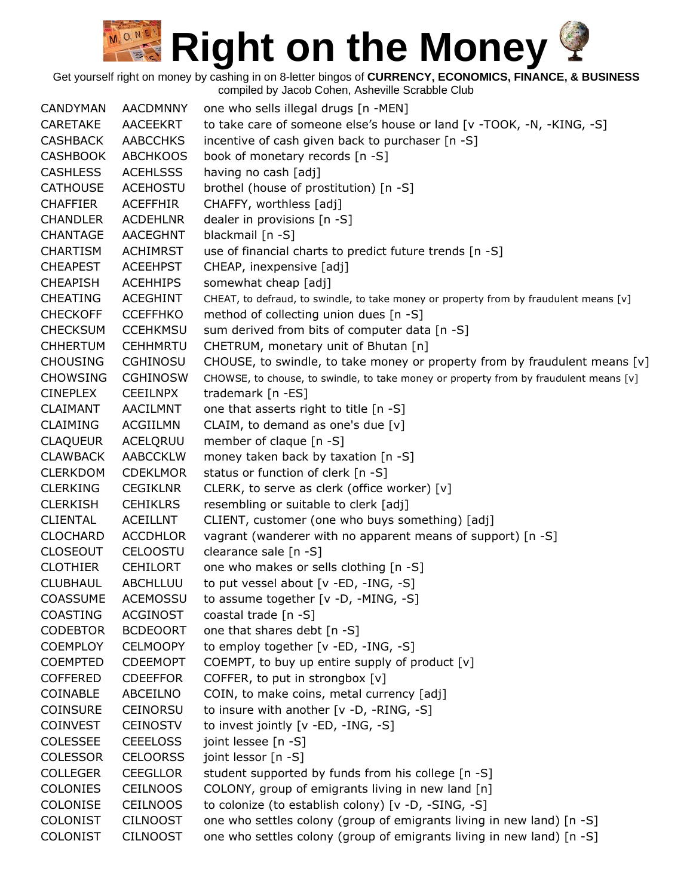Get yourself right on money by cashing in on 8-letter bingos of **CURRENCY, ECONOMICS, FINANCE, & BUSINESS**

compiled by Jacob Cohen, Asheville Scrabble Club

CANDYMAN AACDMNNY one who sells illegal drugs [n -MEN] CARETAKE AACEEKRT to take care of someone else's house or land [v -TOOK, -N, -KING, -S] CASHBACK AABCCHKS incentive of cash given back to purchaser [n -S] CASHBOOK ABCHKOOS book of monetary records [n -S] CASHLESS ACEHLSSS having no cash [adj] CATHOUSE ACEHOSTU brothel (house of prostitution) [n -S] CHAFFIER ACEFFHIR CHAFFY, worthless [adj] CHANDLER ACDEHLNR dealer in provisions [n -S] CHANTAGE AACEGHNT blackmail [n -S] CHARTISM ACHIMRST use of financial charts to predict future trends [n -S] CHEAPEST ACEEHPST CHEAP, inexpensive [adj] CHEAPISH ACEHHIPS somewhat cheap [adj] CHEATING ACEGHINT CHEAT, to defraud, to swindle, to take money or property from by fraudulent means [v] CHECKOFF CCEFFHKO method of collecting union dues [n -S] CHECKSUM CCEHKMSU sum derived from bits of computer data [n -S] CHHERTUM CEHHMRTU CHETRUM, monetary unit of Bhutan [n] CHOUSING CGHINOSU CHOUSE, to swindle, to take money or property from by fraudulent means  $[v]$ CHOWSING CGHINOSW CHOWSE, to chouse, to swindle, to take money or property from by fraudulent means [v] CINEPLEX CEEILNPX trademark [n -ES] CLAIMANT AACILMNT one that asserts right to title [n -S] CLAIMING ACGIILMN CLAIM, to demand as one's due [v] CLAQUEUR ACELQRUU member of claque [n -S] CLAWBACK AABCCKLW money taken back by taxation [n -S] CLERKDOM CDEKLMOR status or function of clerk [n -S] CLERKING CEGIKLNR CLERK, to serve as clerk (office worker) [v] CLERKISH CEHIKLRS resembling or suitable to clerk [adj] CLIENTAL ACEILLNT CLIENT, customer (one who buys something) [adj] CLOCHARD ACCDHLOR vagrant (wanderer with no apparent means of support) [n -S] CLOSEOUT CELOOSTU clearance sale [n -S] CLOTHIER CEHILORT one who makes or sells clothing [n -S] CLUBHAUL ABCHLLUU to put vessel about [v -ED, -ING, -S] COASSUME ACEMOSSU to assume together [v -D, -MING, -S] COASTING ACGINOST coastal trade [n -S] CODEBTOR BCDEOORT one that shares debt [n -S] COEMPLOY CELMOOPY to employ together [v -ED, -ING, -S] COEMPTED CDEEMOPT COEMPT, to buy up entire supply of product [v] COFFERED CDEEFFOR COFFER, to put in strongbox [v] COINABLE ABCEILNO COIN, to make coins, metal currency [adj] COINSURE CEINORSU to insure with another [v -D, -RING, -S] COINVEST CEINOSTV to invest jointly [v -ED, -ING, -S] COLESSEE CEEELOSS joint lessee [n -S] COLESSOR CELOORSS joint lessor [n -S] COLLEGER CEEGLLOR student supported by funds from his college [n -S] COLONIES CEILNOOS COLONY, group of emigrants living in new land [n] COLONISE CEILNOOS to colonize (to establish colony) [v -D, -SING, -S] COLONIST CILNOOST one who settles colony (group of emigrants living in new land) [n -S] COLONIST CILNOOST one who settles colony (group of emigrants living in new land) [n -S]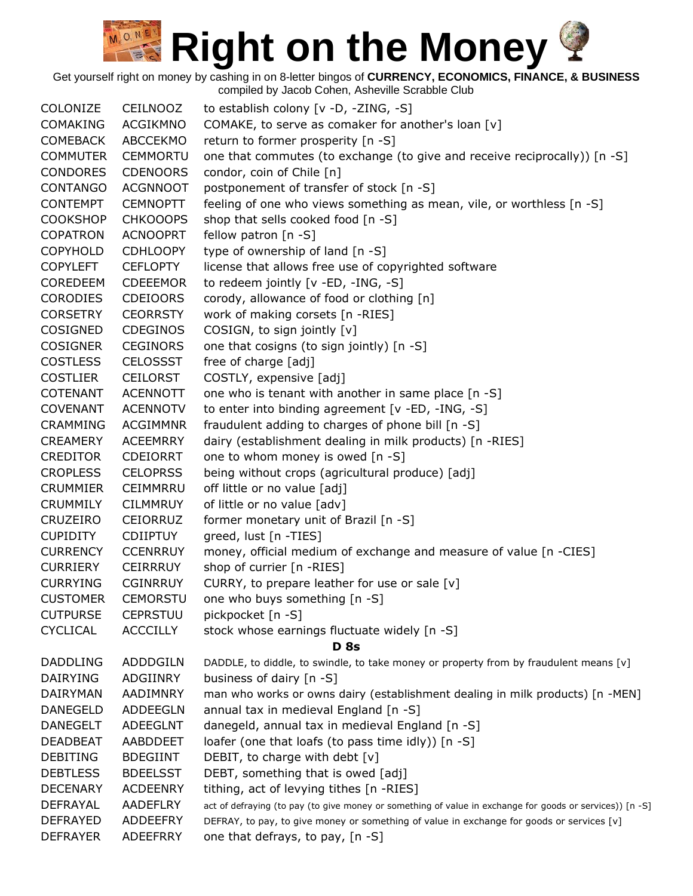Get yourself right on money by cashing in on 8-letter bingos of **CURRENCY, ECONOMICS, FINANCE, & BUSINESS**

compiled by Jacob Cohen, Asheville Scrabble Club COLONIZE CEILNOOZ to establish colony [v -D, -ZING, -S] COMAKING ACGIKMNO COMAKE, to serve as comaker for another's loan [v] COMEBACK ABCCEKMO return to former prosperity [n -S] COMMUTER CEMMORTU one that commutes (to exchange (to give and receive reciprocally)) [n -S] CONDORES CDENOORS condor, coin of Chile [n] CONTANGO ACGNNOOT postponement of transfer of stock [n -S] CONTEMPT CEMNOPTT feeling of one who views something as mean, vile, or worthless [n -S] COOKSHOP CHKOOOPS shop that sells cooked food [n -S] COPATRON ACNOOPRT fellow patron [n -S] COPYHOLD CDHLOOPY type of ownership of land [n -S] COPYLEFT CEFLOPTY license that allows free use of copyrighted software COREDEEM CDEEEMOR to redeem jointly [v -ED, -ING, -S] CORODIES CDEIOORS corody, allowance of food or clothing [n] CORSETRY CEORRSTY work of making corsets [n -RIES] COSIGNED CDEGINOS COSIGN, to sign jointly [v] COSIGNER CEGINORS one that cosigns (to sign jointly) [n -S] COSTLESS CELOSSST free of charge [adj] COSTLIER CEILORST COSTLY, expensive [adj] COTENANT ACENNOTT one who is tenant with another in same place [n -S] COVENANT ACENNOTV to enter into binding agreement [v -ED, -ING, -S] CRAMMING ACGIMMNR fraudulent adding to charges of phone bill [n -S] CREAMERY ACEEMRRY dairy (establishment dealing in milk products) [n -RIES] CREDITOR CDEIORRT one to whom money is owed [n -S] CROPLESS CELOPRSS being without crops (agricultural produce) [adj] CRUMMIER CEIMMRRU off little or no value [adj] CRUMMILY CILMMRUY of little or no value [adv] CRUZEIRO CEIORRUZ former monetary unit of Brazil [n -S] CUPIDITY CDIIPTUY greed, lust [n -TIES] CURRENCY CCENRRUY money, official medium of exchange and measure of value [n -CIES] CURRIERY CEIRRRUY shop of currier [n -RIES] CURRYING CGINRRUY CURRY, to prepare leather for use or sale [v] CUSTOMER CEMORSTU one who buys something [n -S] CUTPURSE CEPRSTUU pickpocket [n -S] CYCLICAL ACCCILLY stock whose earnings fluctuate widely [n -S] **D 8s** DADDLING ADDDGILN DADDLE, to diddle, to swindle, to take money or property from by fraudulent means [v] DAIRYING ADGIINRY business of dairy [n -S] DAIRYMAN AADIMNRY man who works or owns dairy (establishment dealing in milk products) [n -MEN] DANEGELD ADDEEGLN annual tax in medieval England [n -S] DANEGELT ADEEGLNT danegeld, annual tax in medieval England [n -S] DEADBEAT AABDDEET loafer (one that loafs (to pass time idly)) [n -S] DEBITING BDEGIINT DEBIT, to charge with debt [v] DEBTLESS BDEELSST DEBT, something that is owed [adj] DECENARY ACDEENRY tithing, act of levying tithes [n -RIES] DEFRAYAL AADEFLRY act of defraying (to pay (to give money or something of value in exchange for goods or services)) [n -S] DEFRAYED ADDEEFRY DEFRAY, to pay, to give money or something of value in exchange for goods or services [v] DEFRAYER ADEEFRRY one that defrays, to pay, [n -S]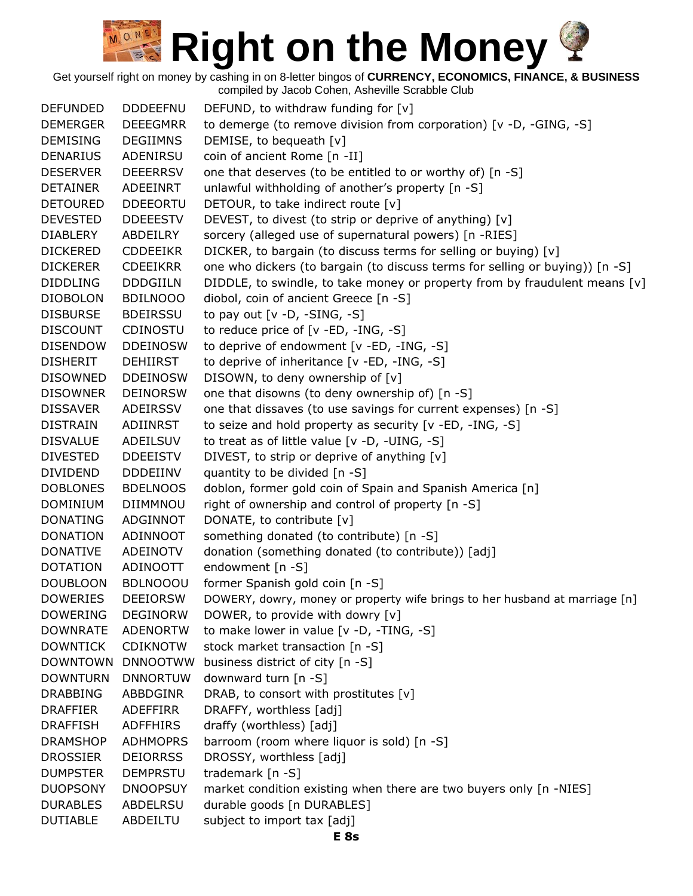Get yourself right on money by cashing in on 8-letter bingos of **CURRENCY, ECONOMICS, FINANCE, & BUSINESS** compiled by Jacob Cohen, Asheville Scrabble Club

DEFUNDED DDDEEFNU DEFUND, to withdraw funding for [v] DEMERGER DEEEGMRR to demerge (to remove division from corporation) [v -D, -GING, -S] DEMISING DEGIIMNS DEMISE, to bequeath [v] DENARIUS ADENIRSU coin of ancient Rome [n -II] DESERVER DEEERRSV one that deserves (to be entitled to or worthy of) [n -S] DETAINER ADEEINRT unlawful withholding of another's property [n -S] DETOURED DDEEORTU DETOUR, to take indirect route [v] DEVESTED DDEEESTV DEVEST, to divest (to strip or deprive of anything) [v] DIABLERY ABDEILRY sorcery (alleged use of supernatural powers) [n -RIES] DICKERED CDDEEIKR DICKER, to bargain (to discuss terms for selling or buying) [v] DICKERER CDEEIKRR one who dickers (to bargain (to discuss terms for selling or buying)) [n -S] DIDDLING DDDGIILN DIDDLE, to swindle, to take money or property from by fraudulent means [v] DIOBOLON BDILNOOO diobol, coin of ancient Greece [n -S] DISBURSE BDEIRSSU to pay out [v -D, -SING, -S] DISCOUNT CDINOSTU to reduce price of [v -ED, -ING, -S] DISENDOW DDEINOSW to deprive of endowment [v -ED, -ING, -S] DISHERIT DEHIIRST to deprive of inheritance [v -ED, -ING, -S] DISOWNED DDEINOSW DISOWN, to deny ownership of [v] DISOWNER DEINORSW one that disowns (to deny ownership of) [n -S] DISSAVER ADEIRSSV one that dissaves (to use savings for current expenses) [n -S] DISTRAIN ADIINRST to seize and hold property as security [v -ED, -ING, -S] DISVALUE ADEILSUV to treat as of little value [v -D, -UING, -S] DIVESTED DDEEISTV DIVEST, to strip or deprive of anything [v] DIVIDEND DDDEIINV quantity to be divided [n -S] DOBLONES BDELNOOS doblon, former gold coin of Spain and Spanish America [n] DOMINIUM DIIMMNOU right of ownership and control of property [n -S] DONATING ADGINNOT DONATE, to contribute [v] DONATION ADINNOOT something donated (to contribute) [n -S] DONATIVE ADEINOTV donation (something donated (to contribute)) [adj] DOTATION ADINOOTT endowment [n -S] DOUBLOON BDLNOOOU former Spanish gold coin [n -S] DOWERIES DEEIORSW DOWERY, dowry, money or property wife brings to her husband at marriage [n] DOWERING DEGINORW DOWER, to provide with dowry [v] DOWNRATE ADENORTW to make lower in value [v -D, -TING, -S] DOWNTICK CDIKNOTW stock market transaction [n -S] DOWNTOWN DNNOOTWW business district of city [n -S] DOWNTURN DNNORTUW downward turn [n -S] DRABBING ABBDGINR DRAB, to consort with prostitutes [v] DRAFFIER ADEFFIRR DRAFFY, worthless [adj] DRAFFISH ADFFHIRS draffy (worthless) [adj] DRAMSHOP ADHMOPRS barroom (room where liquor is sold) [n -S] DROSSIER DEIORRSS DROSSY, worthless [adj] DUMPSTER DEMPRSTU trademark [n -S] DUOPSONY DNOOPSUY market condition existing when there are two buyers only [n -NIES] DURABLES ABDELRSU durable goods [n DURABLES] DUTIABLE ABDEILTU subject to import tax [adj]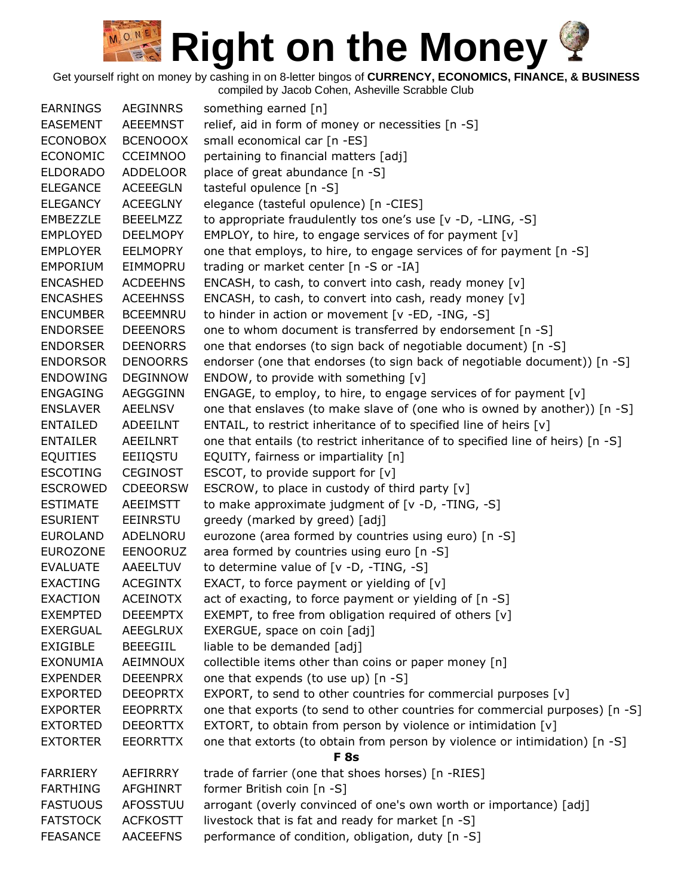Get yourself right on money by cashing in on 8-letter bingos of **CURRENCY, ECONOMICS, FINANCE, & BUSINESS**

| <b>EARNINGS</b> | <b>AEGINNRS</b> | something earned [n]                                                            |
|-----------------|-----------------|---------------------------------------------------------------------------------|
| <b>EASEMENT</b> | AEEEMNST        | relief, aid in form of money or necessities [n -S]                              |
| <b>ECONOBOX</b> | <b>BCENOOOX</b> | small economical car [n -ES]                                                    |
| <b>ECONOMIC</b> | <b>CCEIMNOO</b> | pertaining to financial matters [adj]                                           |
| <b>ELDORADO</b> | <b>ADDELOOR</b> | place of great abundance [n -S]                                                 |
| <b>ELEGANCE</b> | <b>ACEEEGLN</b> | tasteful opulence [n -S]                                                        |
| <b>ELEGANCY</b> | <b>ACEEGLNY</b> | elegance (tasteful opulence) [n -CIES]                                          |
| EMBEZZLE        | <b>BEEELMZZ</b> | to appropriate fraudulently tos one's use [v -D, -LING, -S]                     |
| <b>EMPLOYED</b> | <b>DEELMOPY</b> | EMPLOY, to hire, to engage services of for payment [v]                          |
| <b>EMPLOYER</b> | <b>EELMOPRY</b> | one that employs, to hire, to engage services of for payment [n -S]             |
| <b>EMPORIUM</b> | <b>EIMMOPRU</b> | trading or market center [n -S or -IA]                                          |
| <b>ENCASHED</b> | <b>ACDEEHNS</b> | ENCASH, to cash, to convert into cash, ready money [v]                          |
| <b>ENCASHES</b> | <b>ACEEHNSS</b> | ENCASH, to cash, to convert into cash, ready money [v]                          |
| <b>ENCUMBER</b> | <b>BCEEMNRU</b> | to hinder in action or movement [v -ED, -ING, -S]                               |
| <b>ENDORSEE</b> | <b>DEEENORS</b> | one to whom document is transferred by endorsement [n -S]                       |
| <b>ENDORSER</b> | <b>DEENORRS</b> | one that endorses (to sign back of negotiable document) [n -S]                  |
| <b>ENDORSOR</b> | <b>DENOORRS</b> | endorser (one that endorses (to sign back of negotiable document)) [n -S]       |
| <b>ENDOWING</b> | <b>DEGINNOW</b> | ENDOW, to provide with something [v]                                            |
| <b>ENGAGING</b> | AEGGGINN        | ENGAGE, to employ, to hire, to engage services of for payment [v]               |
| <b>ENSLAVER</b> | <b>AEELNSV</b>  | one that enslaves (to make slave of (one who is owned by another)) [n -S]       |
| <b>ENTAILED</b> | ADEEILNT        | ENTAIL, to restrict inheritance of to specified line of heirs [v]               |
| <b>ENTAILER</b> | AEEILNRT        | one that entails (to restrict inheritance of to specified line of heirs) [n -S] |
| <b>EQUITIES</b> | EEIIQSTU        | EQUITY, fairness or impartiality [n]                                            |
| <b>ESCOTING</b> | <b>CEGINOST</b> | ESCOT, to provide support for $[v]$                                             |
| <b>ESCROWED</b> | <b>CDEEORSW</b> | ESCROW, to place in custody of third party [v]                                  |
| <b>ESTIMATE</b> | AEEIMSTT        | to make approximate judgment of [v -D, -TING, -S]                               |
| <b>ESURIENT</b> | <b>EEINRSTU</b> | greedy (marked by greed) [adj]                                                  |
| <b>EUROLAND</b> | ADELNORU        | eurozone (area formed by countries using euro) [n -S]                           |
| <b>EUROZONE</b> | <b>EENOORUZ</b> | area formed by countries using euro [n -S]                                      |
| <b>EVALUATE</b> | AAEELTUV        | to determine value of $[v -D, -TING, -S]$                                       |
| <b>EXACTING</b> | <b>ACEGINTX</b> | EXACT, to force payment or yielding of $[v]$                                    |
| <b>EXACTION</b> | <b>ACEINOTX</b> | act of exacting, to force payment or yielding of [n -S]                         |
| <b>EXEMPTED</b> | <b>DEEEMPTX</b> | EXEMPT, to free from obligation required of others [v]                          |
| <b>EXERGUAL</b> | AEEGLRUX        | EXERGUE, space on coin [adj]                                                    |
| <b>EXIGIBLE</b> | <b>BEEEGIIL</b> | liable to be demanded [adj]                                                     |
| <b>EXONUMIA</b> | AEIMNOUX        | collectible items other than coins or paper money [n]                           |
| <b>EXPENDER</b> | <b>DEEENPRX</b> | one that expends (to use up) [n -S]                                             |
| <b>EXPORTED</b> | <b>DEEOPRTX</b> | EXPORT, to send to other countries for commercial purposes [v]                  |
| <b>EXPORTER</b> | <b>EEOPRRTX</b> | one that exports (to send to other countries for commercial purposes) [n -S]    |
| <b>EXTORTED</b> | <b>DEEORTTX</b> | EXTORT, to obtain from person by violence or intimidation [v]                   |
| <b>EXTORTER</b> | <b>EEORRTTX</b> | one that extorts (to obtain from person by violence or intimidation) [n -S]     |
|                 |                 | <b>F</b> 8s                                                                     |
| <b>FARRIERY</b> | AEFIRRRY        | trade of farrier (one that shoes horses) [n -RIES]                              |
| <b>FARTHING</b> | <b>AFGHINRT</b> | former British coin [n -S]                                                      |
| <b>FASTUOUS</b> | AFOSSTUU        | arrogant (overly convinced of one's own worth or importance) [adj]              |
| <b>FATSTOCK</b> | <b>ACFKOSTT</b> | livestock that is fat and ready for market [n -S]                               |
| <b>FEASANCE</b> | <b>AACEEFNS</b> | performance of condition, obligation, duty [n -S]                               |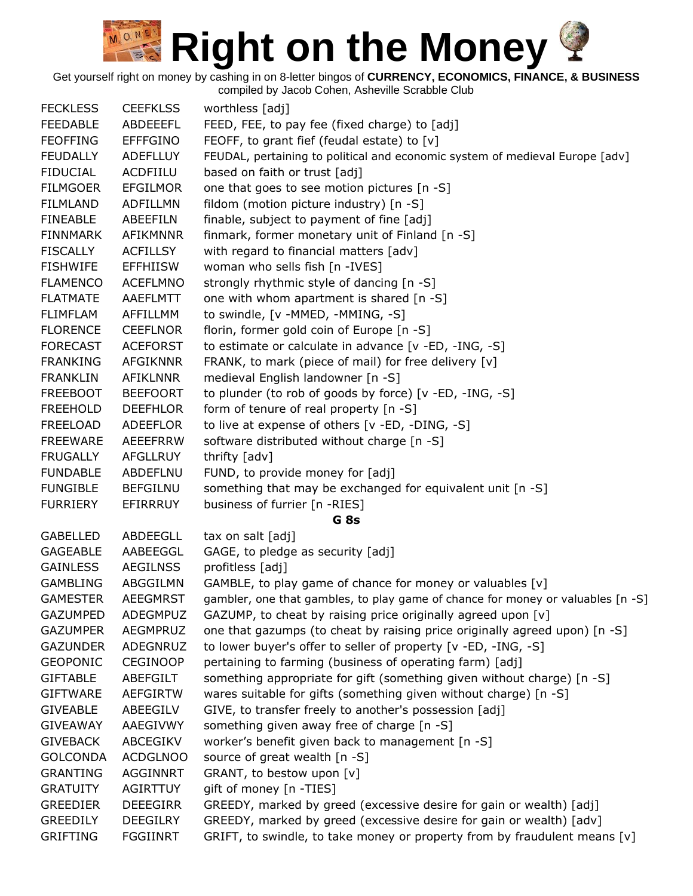Get yourself right on money by cashing in on 8-letter bingos of **CURRENCY, ECONOMICS, FINANCE, & BUSINESS**

| <b>FECKLESS</b> | <b>CEEFKLSS</b> | worthless [adj]                                                                 |
|-----------------|-----------------|---------------------------------------------------------------------------------|
| <b>FEEDABLE</b> | ABDEEEFL        | FEED, FEE, to pay fee (fixed charge) to [adj]                                   |
| <b>FEOFFING</b> | <b>EFFFGINO</b> | FEOFF, to grant fief (feudal estate) to [v]                                     |
| <b>FEUDALLY</b> | <b>ADEFLLUY</b> | FEUDAL, pertaining to political and economic system of medieval Europe [adv]    |
| <b>FIDUCIAL</b> | ACDFIILU        | based on faith or trust [adj]                                                   |
| <b>FILMGOER</b> | <b>EFGILMOR</b> | one that goes to see motion pictures [n -S]                                     |
| <b>FILMLAND</b> | ADFILLMN        | fildom (motion picture industry) [n -S]                                         |
| <b>FINEABLE</b> | ABEEFILN        | finable, subject to payment of fine [adj]                                       |
| FINNMARK        | AFIKMNNR        | finmark, former monetary unit of Finland [n -S]                                 |
| <b>FISCALLY</b> | <b>ACFILLSY</b> | with regard to financial matters [adv]                                          |
| <b>FISHWIFE</b> | <b>EFFHIISW</b> | woman who sells fish [n -IVES]                                                  |
| <b>FLAMENCO</b> | <b>ACEFLMNO</b> | strongly rhythmic style of dancing [n -S]                                       |
| <b>FLATMATE</b> | <b>AAEFLMTT</b> | one with whom apartment is shared [n -S]                                        |
| <b>FLIMFLAM</b> | AFFILLMM        | to swindle, [v -MMED, -MMING, -S]                                               |
| <b>FLORENCE</b> | <b>CEEFLNOR</b> | florin, former gold coin of Europe [n -S]                                       |
| <b>FORECAST</b> | <b>ACEFORST</b> | to estimate or calculate in advance [v -ED, -ING, -S]                           |
| <b>FRANKING</b> | <b>AFGIKNNR</b> | FRANK, to mark (piece of mail) for free delivery [v]                            |
| <b>FRANKLIN</b> | <b>AFIKLNNR</b> | medieval English landowner [n -S]                                               |
| <b>FREEBOOT</b> | <b>BEEFOORT</b> | to plunder (to rob of goods by force) [v -ED, -ING, -S]                         |
| <b>FREEHOLD</b> | <b>DEEFHLOR</b> | form of tenure of real property [n -S]                                          |
| <b>FREELOAD</b> | ADEEFLOR        | to live at expense of others [v -ED, -DING, -S]                                 |
| <b>FREEWARE</b> | <b>AEEEFRRW</b> | software distributed without charge [n -S]                                      |
| <b>FRUGALLY</b> | <b>AFGLLRUY</b> | thrifty [adv]                                                                   |
| <b>FUNDABLE</b> | <b>ABDEFLNU</b> | FUND, to provide money for [adj]                                                |
| <b>FUNGIBLE</b> | <b>BEFGILNU</b> | something that may be exchanged for equivalent unit [n -S]                      |
| <b>FURRIERY</b> | EFIRRRUY        | business of furrier [n -RIES]                                                   |
|                 |                 | G <sub>8s</sub>                                                                 |
| <b>GABELLED</b> | ABDEEGLL        | tax on salt [adj]                                                               |
| <b>GAGEABLE</b> | AABEEGGL        | GAGE, to pledge as security [adj]                                               |
| <b>GAINLESS</b> | <b>AEGILNSS</b> | profitless [adj]                                                                |
| <b>GAMBLING</b> | ABGGILMN        | GAMBLE, to play game of chance for money or valuables [v]                       |
| <b>GAMESTER</b> | <b>AEEGMRST</b> | gambler, one that gambles, to play game of chance for money or valuables [n -S] |
| <b>GAZUMPED</b> | <b>ADEGMPUZ</b> | GAZUMP, to cheat by raising price originally agreed upon [v]                    |
| <b>GAZUMPER</b> | AEGMPRUZ        | one that gazumps (to cheat by raising price originally agreed upon) [n -S]      |
| <b>GAZUNDER</b> | ADEGNRUZ        | to lower buyer's offer to seller of property [v -ED, -ING, -S]                  |
| <b>GEOPONIC</b> | <b>CEGINOOP</b> | pertaining to farming (business of operating farm) [adj]                        |
| <b>GIFTABLE</b> | ABEFGILT        | something appropriate for gift (something given without charge) [n -S]          |
| <b>GIFTWARE</b> | <b>AEFGIRTW</b> | wares suitable for gifts (something given without charge) [n -S]                |
| <b>GIVEABLE</b> | ABEEGILV        | GIVE, to transfer freely to another's possession [adj]                          |
| <b>GIVEAWAY</b> | AAEGIVWY        | something given away free of charge [n -S]                                      |
| <b>GIVEBACK</b> | ABCEGIKV        | worker's benefit given back to management [n -S]                                |
| <b>GOLCONDA</b> | <b>ACDGLNOO</b> | source of great wealth [n -S]                                                   |
| <b>GRANTING</b> | <b>AGGINNRT</b> | GRANT, to bestow upon [v]                                                       |
| <b>GRATUITY</b> | AGIRTTUY        | gift of money [n -TIES]                                                         |
| <b>GREEDIER</b> | <b>DEEEGIRR</b> | GREEDY, marked by greed (excessive desire for gain or wealth) [adj]             |
| <b>GREEDILY</b> | <b>DEEGILRY</b> | GREEDY, marked by greed (excessive desire for gain or wealth) [adv]             |
| <b>GRIFTING</b> | <b>FGGIINRT</b> | GRIFT, to swindle, to take money or property from by fraudulent means $[v]$     |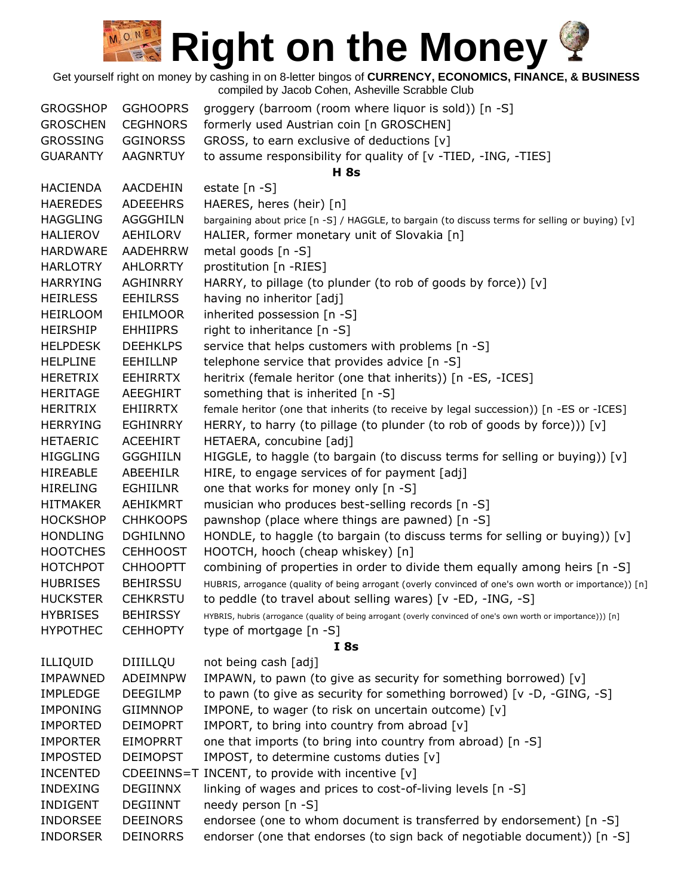| <b>GROGSHOP</b> | <b>GGHOOPRS</b> | groggery (barroom (room where liquor is sold)) [n -S]                                                          |
|-----------------|-----------------|----------------------------------------------------------------------------------------------------------------|
| <b>GROSCHEN</b> | <b>CEGHNORS</b> | formerly used Austrian coin [n GROSCHEN]                                                                       |
| <b>GROSSING</b> | <b>GGINORSS</b> | GROSS, to earn exclusive of deductions [v]                                                                     |
| <b>GUARANTY</b> | <b>AAGNRTUY</b> | to assume responsibility for quality of [v -TIED, -ING, -TIES]                                                 |
|                 |                 | <b>H</b> 8s                                                                                                    |
| <b>HACIENDA</b> | AACDEHIN        | estate $[n -S]$                                                                                                |
| <b>HAEREDES</b> | <b>ADEEEHRS</b> | HAERES, heres (heir) [n]                                                                                       |
| <b>HAGGLING</b> | <b>AGGGHILN</b> | bargaining about price [n -S] / HAGGLE, to bargain (to discuss terms for selling or buying) [v]                |
| <b>HALIEROV</b> | AEHILORV        | HALIER, former monetary unit of Slovakia [n]                                                                   |
| <b>HARDWARE</b> | <b>AADEHRRW</b> | metal goods [n -S]                                                                                             |
| <b>HARLOTRY</b> | <b>AHLORRTY</b> | prostitution [n -RIES]                                                                                         |
| <b>HARRYING</b> | <b>AGHINRRY</b> | HARRY, to pillage (to plunder (to rob of goods by force)) [v]                                                  |
| <b>HEIRLESS</b> | <b>EEHILRSS</b> | having no inheritor [adj]                                                                                      |
| <b>HEIRLOOM</b> | <b>EHILMOOR</b> | inherited possession [n -S]                                                                                    |
| <b>HEIRSHIP</b> | <b>EHHIIPRS</b> | right to inheritance [n -S]                                                                                    |
| <b>HELPDESK</b> | <b>DEEHKLPS</b> | service that helps customers with problems [n -S]                                                              |
| <b>HELPLINE</b> | <b>EEHILLNP</b> | telephone service that provides advice [n -S]                                                                  |
| <b>HERETRIX</b> | <b>EEHIRRTX</b> | heritrix (female heritor (one that inherits)) [n -ES, -ICES]                                                   |
| <b>HERITAGE</b> | AEEGHIRT        | something that is inherited [n -S]                                                                             |
| HERITRIX        | <b>EHIIRRTX</b> | female heritor (one that inherits (to receive by legal succession)) [n -ES or -ICES]                           |
| <b>HERRYING</b> | <b>EGHINRRY</b> | HERRY, to harry (to pillage (to plunder (to rob of goods by force))) [v]                                       |
| <b>HETAERIC</b> | <b>ACEEHIRT</b> | HETAERA, concubine [adj]                                                                                       |
| <b>HIGGLING</b> | <b>GGGHIILN</b> | HIGGLE, to haggle (to bargain (to discuss terms for selling or buying)) [v]                                    |
| <b>HIREABLE</b> | ABEEHILR        | HIRE, to engage services of for payment [adj]                                                                  |
| <b>HIRELING</b> | <b>EGHIILNR</b> | one that works for money only [n -S]                                                                           |
| <b>HITMAKER</b> | <b>AEHIKMRT</b> | musician who produces best-selling records [n -S]                                                              |
| <b>HOCKSHOP</b> | <b>CHHKOOPS</b> | pawnshop (place where things are pawned) [n -S]                                                                |
| <b>HONDLING</b> | <b>DGHILNNO</b> | HONDLE, to haggle (to bargain (to discuss terms for selling or buying)) $[v]$                                  |
| <b>HOOTCHES</b> | <b>CEHHOOST</b> | HOOTCH, hooch (cheap whiskey) [n]                                                                              |
| <b>HOTCHPOT</b> | <b>CHHOOPTT</b> | combining of properties in order to divide them equally among heirs [n -S]                                     |
| <b>HUBRISES</b> | <b>BEHIRSSU</b> | HUBRIS, arrogance (quality of being arrogant (overly convinced of one's own worth or importance)) [n]          |
| <b>HUCKSTER</b> | <b>CEHKRSTU</b> | to peddle (to travel about selling wares) [v -ED, -ING, -S]                                                    |
| <b>HYBRISES</b> | <b>BEHIRSSY</b> | HYBRIS, hubris (arrogance (quality of being arrogant (overly convinced of one's own worth or importance))) [n] |
| <b>HYPOTHEC</b> | <b>CEHHOPTY</b> | type of mortgage [n -S]                                                                                        |
|                 |                 | I8s                                                                                                            |
| ILLIQUID        | DIIILLQU        | not being cash [adj]                                                                                           |
| <b>IMPAWNED</b> | ADEIMNPW        | IMPAWN, to pawn (to give as security for something borrowed) [v]                                               |
| <b>IMPLEDGE</b> | <b>DEEGILMP</b> | to pawn (to give as security for something borrowed) [v -D, -GING, -S]                                         |
| <b>IMPONING</b> | <b>GIIMNNOP</b> | IMPONE, to wager (to risk on uncertain outcome) [v]                                                            |
| <b>IMPORTED</b> | <b>DEIMOPRT</b> | IMPORT, to bring into country from abroad [v]                                                                  |
| <b>IMPORTER</b> | <b>EIMOPRRT</b> | one that imports (to bring into country from abroad) [n -S]                                                    |
| <b>IMPOSTED</b> | <b>DEIMOPST</b> | IMPOST, to determine customs duties [v]                                                                        |
| <b>INCENTED</b> |                 | CDEEINNS=T INCENT, to provide with incentive [v]                                                               |
| <b>INDEXING</b> | <b>DEGIINNX</b> | linking of wages and prices to cost-of-living levels [n -S]                                                    |
| <b>INDIGENT</b> | <b>DEGIINNT</b> | needy person [n -S]                                                                                            |
| <b>INDORSEE</b> | <b>DEEINORS</b> | endorsee (one to whom document is transferred by endorsement) [n -S]                                           |
| <b>INDORSER</b> | <b>DEINORRS</b> | endorser (one that endorses (to sign back of negotiable document)) [n -S]                                      |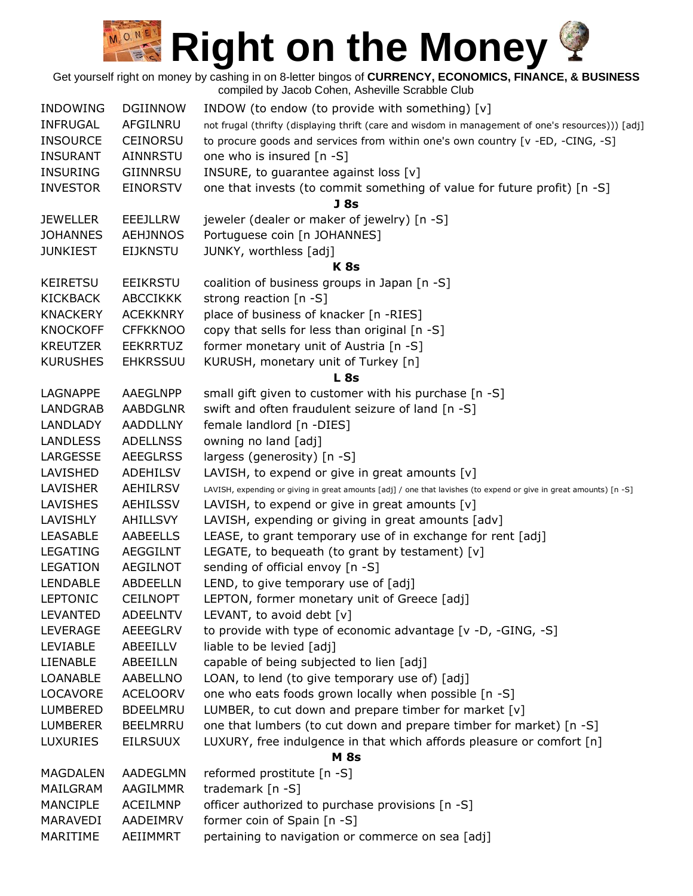| <b>INDOWING</b> | <b>DGIINNOW</b> | INDOW (to endow (to provide with something) [v]                                                                    |
|-----------------|-----------------|--------------------------------------------------------------------------------------------------------------------|
| <b>INFRUGAL</b> | AFGILNRU        | not frugal (thrifty (displaying thrift (care and wisdom in management of one's resources))) [adj]                  |
| <b>INSOURCE</b> | <b>CEINORSU</b> | to procure goods and services from within one's own country [v -ED, -CING, -S]                                     |
| <b>INSURANT</b> | <b>AINNRSTU</b> | one who is insured [n -S]                                                                                          |
| <b>INSURING</b> | GIINNRSU        | INSURE, to guarantee against loss [v]                                                                              |
| <b>INVESTOR</b> | <b>EINORSTV</b> | one that invests (to commit something of value for future profit) [n -S]                                           |
|                 |                 | J <sub>8s</sub>                                                                                                    |
| <b>JEWELLER</b> | <b>EEEJLLRW</b> | jeweler (dealer or maker of jewelry) [n -S]                                                                        |
| <b>JOHANNES</b> | <b>AEHJNNOS</b> | Portuguese coin [n JOHANNES]                                                                                       |
| <b>JUNKIEST</b> | <b>EIJKNSTU</b> | JUNKY, worthless [adj]                                                                                             |
|                 |                 | <b>K</b> 8s                                                                                                        |
| <b>KEIRETSU</b> | <b>EEIKRSTU</b> | coalition of business groups in Japan [n -S]                                                                       |
| <b>KICKBACK</b> | <b>ABCCIKKK</b> | strong reaction [n -S]                                                                                             |
| <b>KNACKERY</b> | <b>ACEKKNRY</b> | place of business of knacker [n -RIES]                                                                             |
| <b>KNOCKOFF</b> | <b>CFFKKNOO</b> | copy that sells for less than original [n -S]                                                                      |
| <b>KREUTZER</b> | <b>EEKRRTUZ</b> | former monetary unit of Austria [n -S]                                                                             |
| <b>KURUSHES</b> | <b>EHKRSSUU</b> | KURUSH, monetary unit of Turkey [n]                                                                                |
|                 |                 | <b>L</b> 8s                                                                                                        |
| LAGNAPPE        | AAEGLNPP        | small gift given to customer with his purchase [n -S]                                                              |
| <b>LANDGRAB</b> | <b>AABDGLNR</b> | swift and often fraudulent seizure of land [n -S]                                                                  |
| <b>LANDLADY</b> | <b>AADDLLNY</b> | female landlord [n -DIES]                                                                                          |
| <b>LANDLESS</b> | <b>ADELLNSS</b> | owning no land [adj]                                                                                               |
| LARGESSE        | <b>AEEGLRSS</b> | largess (generosity) [n -S]                                                                                        |
| LAVISHED        | <b>ADEHILSV</b> | LAVISH, to expend or give in great amounts $[v]$                                                                   |
| LAVISHER        | AEHILRSV        | LAVISH, expending or giving in great amounts [adj] / one that lavishes (to expend or give in great amounts) [n -S] |
| LAVISHES        | <b>AEHILSSV</b> | LAVISH, to expend or give in great amounts $[v]$                                                                   |
| LAVISHLY        | AHILLSVY        | LAVISH, expending or giving in great amounts [adv]                                                                 |
| <b>LEASABLE</b> | <b>AABEELLS</b> | LEASE, to grant temporary use of in exchange for rent [adj]                                                        |
| <b>LEGATING</b> | <b>AEGGILNT</b> | LEGATE, to bequeath (to grant by testament) $[v]$                                                                  |
| LEGATION        | <b>AEGILNOT</b> | sending of official envoy [n -S]                                                                                   |
| <b>LENDABLE</b> | ABDEELLN        | LEND, to give temporary use of [adj]                                                                               |
| LEPTONIC        | <b>CEILNOPT</b> | LEPTON, former monetary unit of Greece [adj]                                                                       |
| <b>LEVANTED</b> | <b>ADEELNTV</b> | LEVANT, to avoid debt $[v]$                                                                                        |
| <b>LEVERAGE</b> | AEEEGLRV        | to provide with type of economic advantage [v -D, -GING, -S]                                                       |
| <b>LEVIABLE</b> | ABEEILLV        | liable to be levied [adj]                                                                                          |
| LIENABLE        | ABEEILLN        | capable of being subjected to lien [adj]                                                                           |
| <b>LOANABLE</b> | <b>AABELLNO</b> | LOAN, to lend (to give temporary use of) [adj]                                                                     |
| <b>LOCAVORE</b> | <b>ACELOORV</b> | one who eats foods grown locally when possible [n -S]                                                              |
| LUMBERED        | <b>BDEELMRU</b> | LUMBER, to cut down and prepare timber for market [v]                                                              |
| <b>LUMBERER</b> | <b>BEELMRRU</b> | one that lumbers (to cut down and prepare timber for market) [n -S]                                                |
| LUXURIES        | <b>EILRSUUX</b> | LUXURY, free indulgence in that which affords pleasure or comfort [n]                                              |
|                 |                 | <b>M</b> 8s                                                                                                        |
| <b>MAGDALEN</b> | AADEGLMN        | reformed prostitute [n -S]                                                                                         |
| MAILGRAM        | AAGILMMR        | trademark [n -S]                                                                                                   |
| <b>MANCIPLE</b> | <b>ACEILMNP</b> | officer authorized to purchase provisions [n -S]                                                                   |
| MARAVEDI        | AADEIMRV        | former coin of Spain [n -S]                                                                                        |
| MARITIME        | AEIIMMRT        | pertaining to navigation or commerce on sea [adj]                                                                  |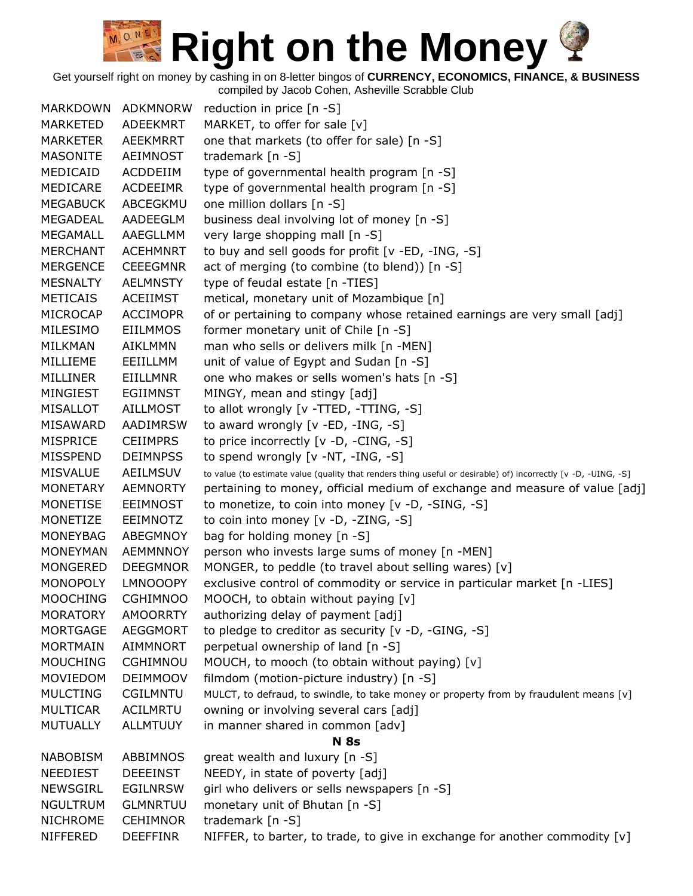Get yourself right on money by cashing in on 8-letter bingos of **CURRENCY, ECONOMICS, FINANCE, & BUSINESS**

| <b>MARKDOWN</b> | <b>ADKMNORW</b> | reduction in price [n -S]                                                                                      |
|-----------------|-----------------|----------------------------------------------------------------------------------------------------------------|
| <b>MARKETED</b> | ADEEKMRT        | MARKET, to offer for sale [v]                                                                                  |
| <b>MARKETER</b> | AEEKMRRT        | one that markets (to offer for sale) [n -S]                                                                    |
| <b>MASONITE</b> | <b>AEIMNOST</b> | trademark [n -S]                                                                                               |
| MEDICAID        | ACDDEIIM        | type of governmental health program [n -S]                                                                     |
| MEDICARE        | <b>ACDEEIMR</b> | type of governmental health program [n -S]                                                                     |
| <b>MEGABUCK</b> | ABCEGKMU        | one million dollars [n -S]                                                                                     |
| MEGADEAL        | AADEEGLM        | business deal involving lot of money [n -S]                                                                    |
| MEGAMALL        | AAEGLLMM        | very large shopping mall [n -S]                                                                                |
| <b>MERCHANT</b> | <b>ACEHMNRT</b> | to buy and sell goods for profit [v -ED, -ING, -S]                                                             |
| <b>MERGENCE</b> | <b>CEEEGMNR</b> | act of merging (to combine (to blend)) [n -S]                                                                  |
| <b>MESNALTY</b> | <b>AELMNSTY</b> | type of feudal estate [n -TIES]                                                                                |
| <b>METICAIS</b> | <b>ACEIIMST</b> | metical, monetary unit of Mozambique [n]                                                                       |
| MICROCAP        | <b>ACCIMOPR</b> | of or pertaining to company whose retained earnings are very small [adj]                                       |
| MILESIMO        | <b>EIILMMOS</b> | former monetary unit of Chile [n -S]                                                                           |
| <b>MILKMAN</b>  | <b>AIKLMMN</b>  | man who sells or delivers milk [n -MEN]                                                                        |
| MILLIEME        | EEIILLMM        | unit of value of Egypt and Sudan [n -S]                                                                        |
| <b>MILLINER</b> | <b>EIILLMNR</b> | one who makes or sells women's hats [n -S]                                                                     |
| MINGIEST        | <b>EGIIMNST</b> | MINGY, mean and stingy [adj]                                                                                   |
| MISALLOT        | <b>AILLMOST</b> | to allot wrongly [v -TTED, -TTING, -S]                                                                         |
| MISAWARD        | <b>AADIMRSW</b> | to award wrongly [v -ED, -ING, -S]                                                                             |
| <b>MISPRICE</b> | <b>CEIIMPRS</b> | to price incorrectly [v -D, -CING, -S]                                                                         |
| <b>MISSPEND</b> | <b>DEIMNPSS</b> | to spend wrongly [v -NT, -ING, -S]                                                                             |
| <b>MISVALUE</b> | <b>AEILMSUV</b> | to value (to estimate value (quality that renders thing useful or desirable) of) incorrectly [v -D, -UING, -S] |
| <b>MONETARY</b> | <b>AEMNORTY</b> | pertaining to money, official medium of exchange and measure of value [adj]                                    |
| MONETISE        | <b>EEIMNOST</b> | to monetize, to coin into money [v -D, -SING, -S]                                                              |
| MONETIZE        | <b>EEIMNOTZ</b> | to coin into money [v -D, -ZING, -S]                                                                           |
| <b>MONEYBAG</b> | ABEGMNOY        | bag for holding money [n -S]                                                                                   |
| <b>MONEYMAN</b> | <b>AEMMNNOY</b> | person who invests large sums of money [n -MEN]                                                                |
| <b>MONGERED</b> | <b>DEEGMNOR</b> | MONGER, to peddle (to travel about selling wares) [v]                                                          |
| MONOPOLY        | <b>LMNOOOPY</b> | exclusive control of commodity or service in particular market [n -LIES]                                       |
| <b>MOOCHING</b> | <b>CGHIMNOO</b> | MOOCH, to obtain without paying [v]                                                                            |
| <b>MORATORY</b> | <b>AMOORRTY</b> | authorizing delay of payment [adj]                                                                             |
| <b>MORTGAGE</b> | <b>AEGGMORT</b> | to pledge to creditor as security [v -D, -GING, -S]                                                            |
| <b>MORTMAIN</b> | <b>AIMMNORT</b> | perpetual ownership of land [n -S]                                                                             |
| <b>MOUCHING</b> | <b>CGHIMNOU</b> | MOUCH, to mooch (to obtain without paying) [v]                                                                 |
| <b>MOVIEDOM</b> | <b>DEIMMOOV</b> | filmdom (motion-picture industry) [n -S]                                                                       |
| <b>MULCTING</b> | <b>CGILMNTU</b> | MULCT, to defraud, to swindle, to take money or property from by fraudulent means [v]                          |
| <b>MULTICAR</b> | <b>ACILMRTU</b> | owning or involving several cars [adj]                                                                         |
| <b>MUTUALLY</b> | <b>ALLMTUUY</b> | in manner shared in common [adv]                                                                               |
|                 |                 | <b>N</b> 8s                                                                                                    |
| <b>NABOBISM</b> | ABBIMNOS        | great wealth and luxury [n -S]                                                                                 |
| NEEDIEST        | <b>DEEEINST</b> | NEEDY, in state of poverty [adj]                                                                               |
| <b>NEWSGIRL</b> | <b>EGILNRSW</b> | girl who delivers or sells newspapers [n -S]                                                                   |
| <b>NGULTRUM</b> | <b>GLMNRTUU</b> | monetary unit of Bhutan [n -S]                                                                                 |
| <b>NICHROME</b> | <b>CEHIMNOR</b> | trademark [n -S]                                                                                               |
| NIFFERED        | <b>DEEFFINR</b> | NIFFER, to barter, to trade, to give in exchange for another commodity $[v]$                                   |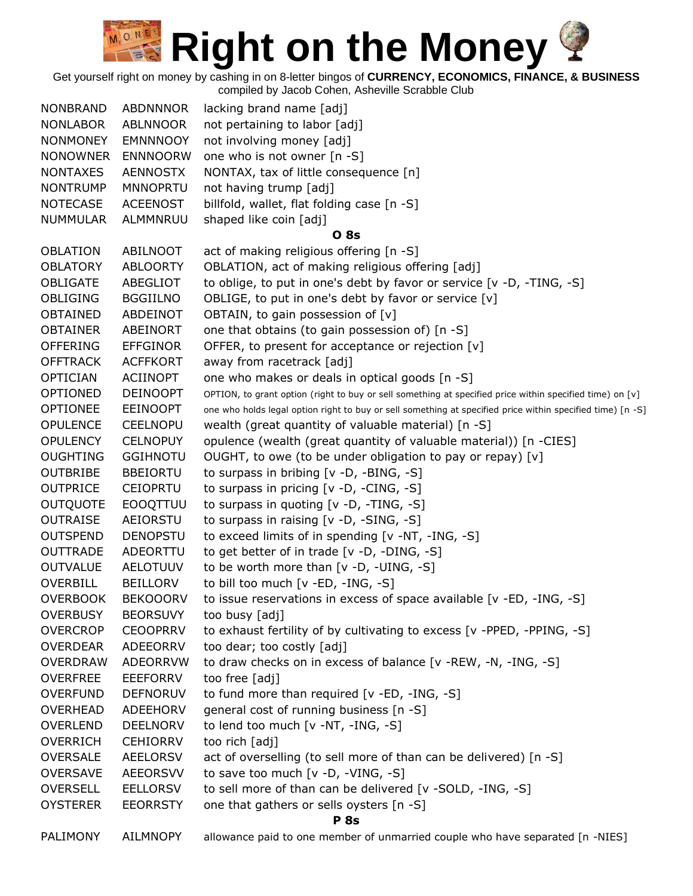Get yourself right on money by cashing in on 8-letter bingos of **CURRENCY, ECONOMICS, FINANCE, & BUSINESS**

| <b>NONBRAND</b> | <b>ABDNNNOR</b> | lacking brand name [adj]                                                                                   |
|-----------------|-----------------|------------------------------------------------------------------------------------------------------------|
| <b>NONLABOR</b> | ABLNNOOR        | not pertaining to labor [adj]                                                                              |
| <b>NONMONEY</b> | <b>EMNNNOOY</b> | not involving money [adj]                                                                                  |
| <b>NONOWNER</b> | <b>ENNNOORW</b> | one who is not owner [n -S]                                                                                |
| <b>NONTAXES</b> | <b>AENNOSTX</b> | NONTAX, tax of little consequence [n]                                                                      |
| <b>NONTRUMP</b> | <b>MNNOPRTU</b> | not having trump [adj]                                                                                     |
| <b>NOTECASE</b> | <b>ACEENOST</b> | billfold, wallet, flat folding case [n -S]                                                                 |
| <b>NUMMULAR</b> | ALMMNRUU        | shaped like coin [adj]                                                                                     |
|                 |                 | <b>O</b> 8s                                                                                                |
| <b>OBLATION</b> | ABILNOOT        | act of making religious offering [n -S]                                                                    |
| <b>OBLATORY</b> | <b>ABLOORTY</b> | OBLATION, act of making religious offering [adj]                                                           |
| <b>OBLIGATE</b> | ABEGLIOT        | to oblige, to put in one's debt by favor or service [v -D, -TING, -S]                                      |
| <b>OBLIGING</b> | <b>BGGIILNO</b> | OBLIGE, to put in one's debt by favor or service [v]                                                       |
| OBTAINED        | <b>ABDEINOT</b> | OBTAIN, to gain possession of [v]                                                                          |
| <b>OBTAINER</b> | ABEINORT        | one that obtains (to gain possession of) [n -S]                                                            |
| <b>OFFERING</b> | <b>EFFGINOR</b> | OFFER, to present for acceptance or rejection [v]                                                          |
| <b>OFFTRACK</b> | <b>ACFFKORT</b> | away from racetrack [adj]                                                                                  |
| <b>OPTICIAN</b> | <b>ACIINOPT</b> | one who makes or deals in optical goods [n -S]                                                             |
| <b>OPTIONED</b> | <b>DEINOOPT</b> | OPTION, to grant option (right to buy or sell something at specified price within specified time) on [v]   |
| <b>OPTIONEE</b> | <b>EEINOOPT</b> | one who holds legal option right to buy or sell something at specified price within specified time) [n -S] |
| <b>OPULENCE</b> | <b>CEELNOPU</b> | wealth (great quantity of valuable material) [n -S]                                                        |
| <b>OPULENCY</b> | <b>CELNOPUY</b> | opulence (wealth (great quantity of valuable material)) [n -CIES]                                          |
| <b>OUGHTING</b> | <b>GGIHNOTU</b> | OUGHT, to owe (to be under obligation to pay or repay) [v]                                                 |
| <b>OUTBRIBE</b> | <b>BBEIORTU</b> | to surpass in bribing $[v -D, -BING, -S]$                                                                  |
| <b>OUTPRICE</b> | <b>CEIOPRTU</b> | to surpass in pricing [v -D, -CING, -S]                                                                    |
| <b>OUTQUOTE</b> | <b>EOOQTTUU</b> | to surpass in quoting [v -D, -TING, -S]                                                                    |
| <b>OUTRAISE</b> | AEIORSTU        | to surpass in raising [v -D, -SING, -S]                                                                    |
| <b>OUTSPEND</b> | <b>DENOPSTU</b> | to exceed limits of in spending [v -NT, -ING, -S]                                                          |
| <b>OUTTRADE</b> | ADEORTTU        | to get better of in trade [v -D, -DING, -S]                                                                |
| <b>OUTVALUE</b> | <b>AELOTUUV</b> | to be worth more than [v -D, -UING, -S]                                                                    |
| OVERBILL        | <b>BEILLORV</b> | to bill too much [v -ED, -ING, -S]                                                                         |
| <b>OVERBOOK</b> | <b>BEKOOORV</b> | to issue reservations in excess of space available [v -ED, -ING, -S]                                       |
| <b>OVERBUSY</b> | <b>BEORSUVY</b> | too busy [adj]                                                                                             |
| <b>OVERCROP</b> | <b>CEOOPRRV</b> | to exhaust fertility of by cultivating to excess [v -PPED, -PPING, -S]                                     |
| <b>OVERDEAR</b> | ADEEORRV        | too dear; too costly [adj]                                                                                 |
| <b>OVERDRAW</b> | <b>ADEORRVW</b> | to draw checks on in excess of balance [v -REW, -N, -ING, -S]                                              |
| <b>OVERFREE</b> | EEEFORRV        | too free [adj]                                                                                             |
| <b>OVERFUND</b> | <b>DEFNORUV</b> | to fund more than required [v -ED, -ING, -S]                                                               |
| <b>OVERHEAD</b> | ADEEHORV        | general cost of running business [n -S]                                                                    |
| <b>OVERLEND</b> | <b>DEELNORV</b> | to lend too much [v -NT, -ING, -S]                                                                         |
| <b>OVERRICH</b> | <b>CEHIORRV</b> | too rich [adj]                                                                                             |
| <b>OVERSALE</b> | <b>AEELORSV</b> | act of overselling (to sell more of than can be delivered) [n -S]                                          |
| <b>OVERSAVE</b> | <b>AEEORSVV</b> | to save too much [v -D, -VING, -S]                                                                         |
| <b>OVERSELL</b> | <b>EELLORSV</b> | to sell more of than can be delivered [v -SOLD, -ING, -S]                                                  |
| <b>OYSTERER</b> | <b>EEORRSTY</b> | one that gathers or sells oysters [n -S]                                                                   |
|                 |                 | <b>P</b> 8s                                                                                                |
| PALIMONY        | AILMNOPY        | allowance paid to one member of unmarried couple who have separated [n -NIES]                              |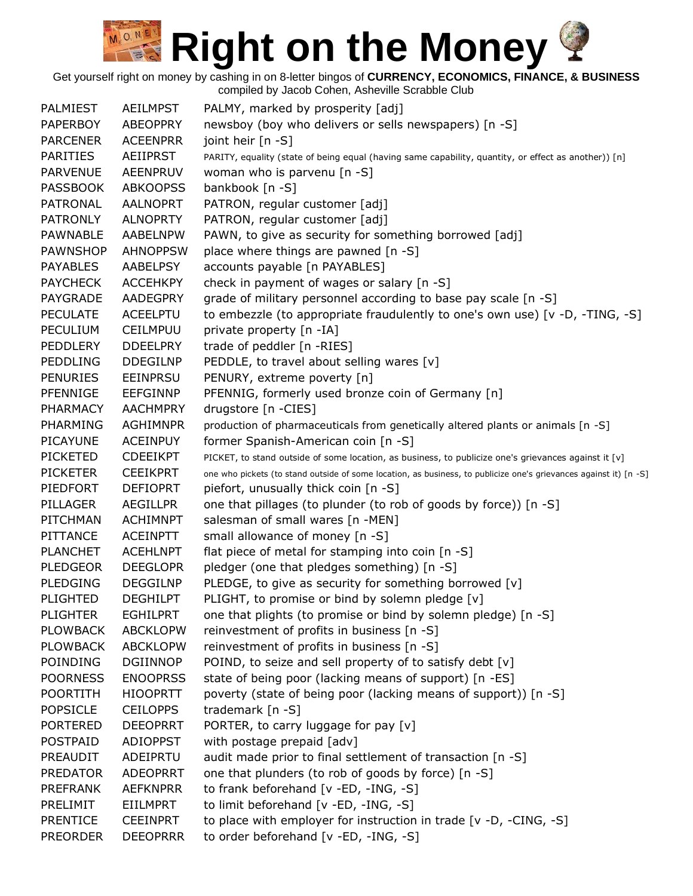Get yourself right on money by cashing in on 8-letter bingos of **CURRENCY, ECONOMICS, FINANCE, & BUSINESS**

| <b>PALMIEST</b> | <b>AEILMPST</b> | PALMY, marked by prosperity [adj]                                                                                 |
|-----------------|-----------------|-------------------------------------------------------------------------------------------------------------------|
| <b>PAPERBOY</b> | <b>ABEOPPRY</b> | newsboy (boy who delivers or sells newspapers) [n -S]                                                             |
| <b>PARCENER</b> | <b>ACEENPRR</b> | joint heir [n -S]                                                                                                 |
| <b>PARITIES</b> | <b>AEIIPRST</b> | PARITY, equality (state of being equal (having same capability, quantity, or effect as another)) [n]              |
| <b>PARVENUE</b> | <b>AEENPRUV</b> | woman who is parvenu [n -S]                                                                                       |
| <b>PASSBOOK</b> | <b>ABKOOPSS</b> | bankbook [n -S]                                                                                                   |
| <b>PATRONAL</b> | AALNOPRT        | PATRON, regular customer [adj]                                                                                    |
| <b>PATRONLY</b> | <b>ALNOPRTY</b> | PATRON, regular customer [adj]                                                                                    |
| <b>PAWNABLE</b> | AABELNPW        | PAWN, to give as security for something borrowed [adj]                                                            |
| <b>PAWNSHOP</b> | <b>AHNOPPSW</b> | place where things are pawned [n -S]                                                                              |
| <b>PAYABLES</b> | AABELPSY        | accounts payable [n PAYABLES]                                                                                     |
| <b>PAYCHECK</b> | <b>ACCEHKPY</b> | check in payment of wages or salary [n -S]                                                                        |
| PAYGRADE        | AADEGPRY        | grade of military personnel according to base pay scale [n -S]                                                    |
| <b>PECULATE</b> | <b>ACEELPTU</b> | to embezzle (to appropriate fraudulently to one's own use) [v -D, -TING, -S]                                      |
| PECULIUM        | <b>CEILMPUU</b> | private property [n -IA]                                                                                          |
| <b>PEDDLERY</b> | <b>DDEELPRY</b> | trade of peddler [n -RIES]                                                                                        |
| <b>PEDDLING</b> | <b>DDEGILNP</b> | PEDDLE, to travel about selling wares [v]                                                                         |
| <b>PENURIES</b> | <b>EEINPRSU</b> | PENURY, extreme poverty [n]                                                                                       |
| PFENNIGE        | <b>EEFGINNP</b> | PFENNIG, formerly used bronze coin of Germany [n]                                                                 |
| <b>PHARMACY</b> | <b>AACHMPRY</b> | drugstore [n -CIES]                                                                                               |
| PHARMING        | <b>AGHIMNPR</b> | production of pharmaceuticals from genetically altered plants or animals [n -S]                                   |
| <b>PICAYUNE</b> | <b>ACEINPUY</b> | former Spanish-American coin [n -S]                                                                               |
| <b>PICKETED</b> | <b>CDEEIKPT</b> | PICKET, to stand outside of some location, as business, to publicize one's grievances against it [v]              |
| <b>PICKETER</b> | <b>CEEIKPRT</b> | one who pickets (to stand outside of some location, as business, to publicize one's grievances against it) [n -S] |
| PIEDFORT        | <b>DEFIOPRT</b> | piefort, unusually thick coin [n -S]                                                                              |
| PILLAGER        | <b>AEGILLPR</b> | one that pillages (to plunder (to rob of goods by force)) [n -S]                                                  |
| PITCHMAN        | <b>ACHIMNPT</b> | salesman of small wares [n -MEN]                                                                                  |
| PITTANCE        | <b>ACEINPTT</b> | small allowance of money [n -S]                                                                                   |
| <b>PLANCHET</b> | <b>ACEHLNPT</b> | flat piece of metal for stamping into coin [n -S]                                                                 |
| <b>PLEDGEOR</b> | <b>DEEGLOPR</b> | pledger (one that pledges something) [n -S]                                                                       |
| <b>PLEDGING</b> | <b>DEGGILNP</b> | PLEDGE, to give as security for something borrowed [v]                                                            |
| <b>PLIGHTED</b> | <b>DEGHILPT</b> | PLIGHT, to promise or bind by solemn pledge [v]                                                                   |
| <b>PLIGHTER</b> | <b>EGHILPRT</b> | one that plights (to promise or bind by solemn pledge) [n -S]                                                     |
| <b>PLOWBACK</b> | <b>ABCKLOPW</b> | reinvestment of profits in business [n -S]                                                                        |
| <b>PLOWBACK</b> | <b>ABCKLOPW</b> | reinvestment of profits in business [n -S]                                                                        |
| POINDING        | <b>DGIINNOP</b> | POIND, to seize and sell property of to satisfy debt [v]                                                          |
| <b>POORNESS</b> | <b>ENOOPRSS</b> | state of being poor (lacking means of support) [n -ES]                                                            |
| <b>POORTITH</b> | <b>HIOOPRTT</b> | poverty (state of being poor (lacking means of support)) [n -S]                                                   |
| <b>POPSICLE</b> | <b>CEILOPPS</b> | trademark [n -S]                                                                                                  |
| <b>PORTERED</b> | <b>DEEOPRRT</b> | PORTER, to carry luggage for pay [v]                                                                              |
| <b>POSTPAID</b> | <b>ADIOPPST</b> | with postage prepaid [adv]                                                                                        |
| PREAUDIT        | ADEIPRTU        | audit made prior to final settlement of transaction [n -S]                                                        |
| <b>PREDATOR</b> | <b>ADEOPRRT</b> | one that plunders (to rob of goods by force) [n -S]                                                               |
| <b>PREFRANK</b> | <b>AEFKNPRR</b> | to frank beforehand [v -ED, -ING, -S]                                                                             |
| PRELIMIT        | <b>EIILMPRT</b> | to limit beforehand [v -ED, -ING, -S]                                                                             |
| <b>PRENTICE</b> | <b>CEEINPRT</b> | to place with employer for instruction in trade [v -D, -CING, -S]                                                 |
| <b>PREORDER</b> | <b>DEEOPRRR</b> | to order beforehand [v -ED, -ING, -S]                                                                             |
|                 |                 |                                                                                                                   |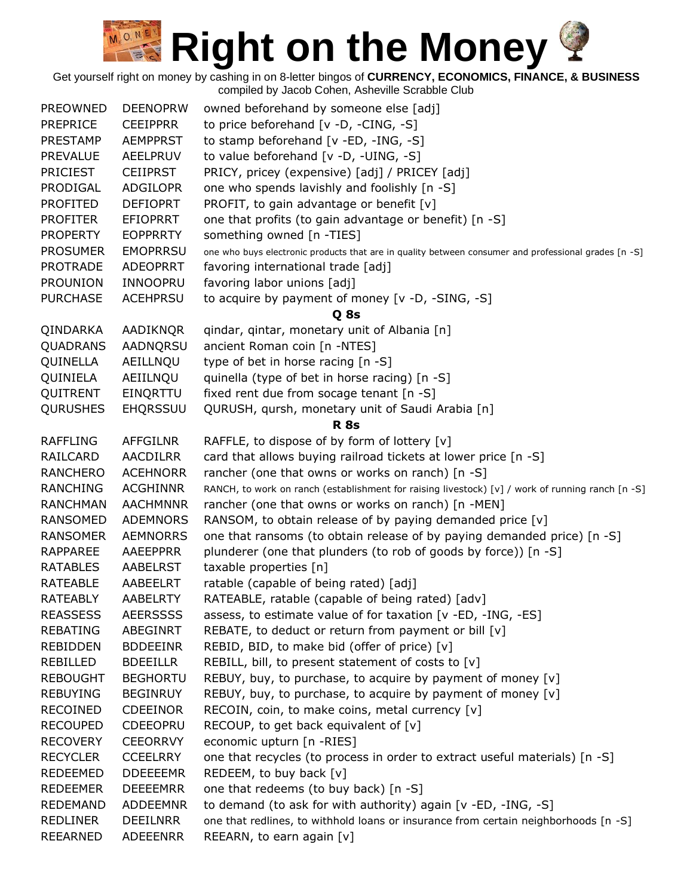Get yourself right on money by cashing in on 8-letter bingos of **CURRENCY, ECONOMICS, FINANCE, & BUSINESS**

| <b>PREOWNED</b> | <b>DEENOPRW</b> | owned beforehand by someone else [adj]                                                               |
|-----------------|-----------------|------------------------------------------------------------------------------------------------------|
| <b>PREPRICE</b> | <b>CEEIPPRR</b> | to price beforehand [v -D, -CING, -S]                                                                |
| <b>PRESTAMP</b> | <b>AEMPPRST</b> | to stamp beforehand [v -ED, -ING, -S]                                                                |
| <b>PREVALUE</b> | AEELPRUV        | to value beforehand [v -D, -UING, -S]                                                                |
| <b>PRICIEST</b> | <b>CEIIPRST</b> | PRICY, pricey (expensive) [adj] / PRICEY [adj]                                                       |
| PRODIGAL        | <b>ADGILOPR</b> | one who spends lavishly and foolishly [n -S]                                                         |
| <b>PROFITED</b> | <b>DEFIOPRT</b> | PROFIT, to gain advantage or benefit [v]                                                             |
| <b>PROFITER</b> | <b>EFIOPRRT</b> | one that profits (to gain advantage or benefit) [n -S]                                               |
| <b>PROPERTY</b> | <b>EOPPRRTY</b> | something owned [n -TIES]                                                                            |
| <b>PROSUMER</b> | <b>EMOPRRSU</b> | one who buys electronic products that are in quality between consumer and professional grades [n -S] |
| <b>PROTRADE</b> | <b>ADEOPRRT</b> | favoring international trade [adj]                                                                   |
| <b>PROUNION</b> | INNOOPRU        | favoring labor unions [adj]                                                                          |
| <b>PURCHASE</b> | <b>ACEHPRSU</b> | to acquire by payment of money [v -D, -SING, -S]                                                     |
|                 |                 | Q 8s                                                                                                 |
| QINDARKA        | AADIKNQR        | qindar, qintar, monetary unit of Albania [n]                                                         |
| <b>QUADRANS</b> | AADNQRSU        | ancient Roman coin [n -NTES]                                                                         |
| QUINELLA        | AEILLNQU        | type of bet in horse racing [n -S]                                                                   |
| QUINIELA        | AEIILNQU        | quinella (type of bet in horse racing) [n -S]                                                        |
| QUITRENT        | EINQRTTU        | fixed rent due from socage tenant [n -S]                                                             |
| <b>QURUSHES</b> | EHQRSSUU        | QURUSH, qursh, monetary unit of Saudi Arabia [n]                                                     |
|                 |                 | <b>R</b> 8s                                                                                          |
| <b>RAFFLING</b> | <b>AFFGILNR</b> | RAFFLE, to dispose of by form of lottery [v]                                                         |
| RAILCARD        | <b>AACDILRR</b> | card that allows buying railroad tickets at lower price [n -S]                                       |
| <b>RANCHERO</b> | <b>ACEHNORR</b> | rancher (one that owns or works on ranch) [n -S]                                                     |
| <b>RANCHING</b> | <b>ACGHINNR</b> | RANCH, to work on ranch (establishment for raising livestock) [v] / work of running ranch [n -S]     |
| <b>RANCHMAN</b> | <b>AACHMNNR</b> | rancher (one that owns or works on ranch) [n -MEN]                                                   |
| <b>RANSOMED</b> | <b>ADEMNORS</b> | RANSOM, to obtain release of by paying demanded price [v]                                            |
| <b>RANSOMER</b> | <b>AEMNORRS</b> | one that ransoms (to obtain release of by paying demanded price) [n -S]                              |
| <b>RAPPAREE</b> | AAEEPPRR        | plunderer (one that plunders (to rob of goods by force)) [n -S]                                      |
| <b>RATABLES</b> | AABELRST        | taxable properties [n]                                                                               |
| <b>RATEABLE</b> | AABEELRT        | ratable (capable of being rated) [adj]                                                               |
| <b>RATEABLY</b> | AABELRTY        | RATEABLE, ratable (capable of being rated) [adv]                                                     |
| <b>REASSESS</b> | <b>AEERSSSS</b> | assess, to estimate value of for taxation [v -ED, -ING, -ES]                                         |
| <b>REBATING</b> | ABEGINRT        | REBATE, to deduct or return from payment or bill [v]                                                 |
| <b>REBIDDEN</b> | <b>BDDEEINR</b> | REBID, BID, to make bid (offer of price) [v]                                                         |
| REBILLED        | <b>BDEEILLR</b> | REBILL, bill, to present statement of costs to [v]                                                   |
| <b>REBOUGHT</b> | <b>BEGHORTU</b> | REBUY, buy, to purchase, to acquire by payment of money [v]                                          |
| <b>REBUYING</b> | <b>BEGINRUY</b> | REBUY, buy, to purchase, to acquire by payment of money [v]                                          |
| <b>RECOINED</b> | <b>CDEEINOR</b> | RECOIN, coin, to make coins, metal currency [v]                                                      |
| <b>RECOUPED</b> | <b>CDEEOPRU</b> | RECOUP, to get back equivalent of $[v]$                                                              |
| <b>RECOVERY</b> | <b>CEEORRVY</b> | economic upturn [n -RIES]                                                                            |
| <b>RECYCLER</b> | <b>CCEELRRY</b> | one that recycles (to process in order to extract useful materials) [n -S]                           |
| REDEEMED        | <b>DDEEEEMR</b> | REDEEM, to buy back [v]                                                                              |
| <b>REDEEMER</b> | <b>DEEEEMRR</b> | one that redeems (to buy back) [n -S]                                                                |
| <b>REDEMAND</b> | <b>ADDEEMNR</b> | to demand (to ask for with authority) again [v -ED, -ING, -S]                                        |
| <b>REDLINER</b> | <b>DEEILNRR</b> | one that redlines, to withhold loans or insurance from certain neighborhoods [n -S]                  |
| REEARNED        | <b>ADEEENRR</b> | REEARN, to earn again [v]                                                                            |
|                 |                 |                                                                                                      |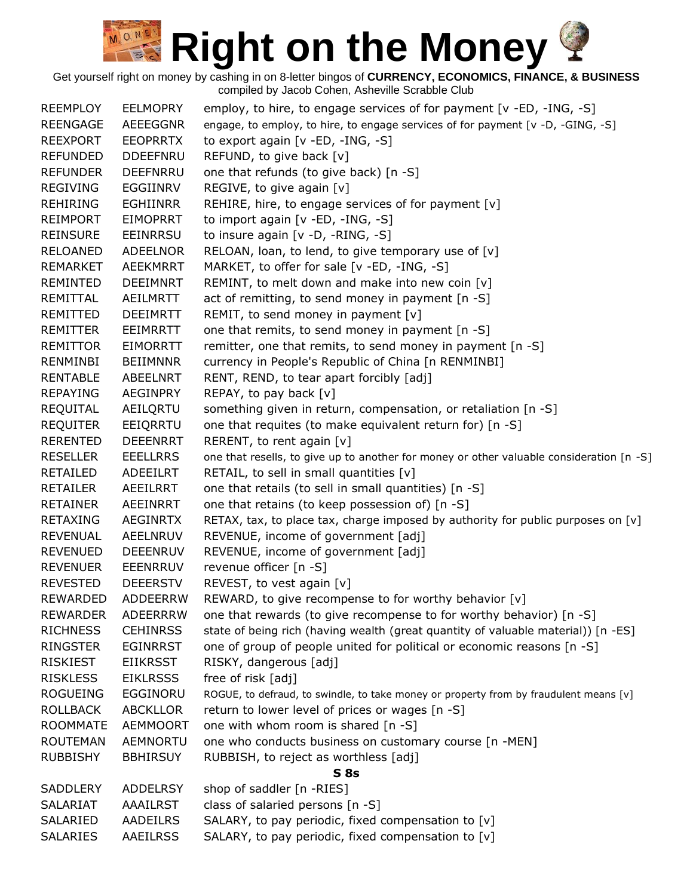| <b>REEMPLOY</b> | <b>EELMOPRY</b> | employ, to hire, to engage services of for payment [v -ED, -ING, -S]                     |
|-----------------|-----------------|------------------------------------------------------------------------------------------|
| <b>REENGAGE</b> | AEEEGGNR        | engage, to employ, to hire, to engage services of for payment [v -D, -GING, -S]          |
| <b>REEXPORT</b> | <b>EEOPRRTX</b> | to export again [v -ED, -ING, -S]                                                        |
| <b>REFUNDED</b> | <b>DDEEFNRU</b> | REFUND, to give back [v]                                                                 |
| <b>REFUNDER</b> | <b>DEEFNRRU</b> | one that refunds (to give back) [n -S]                                                   |
| <b>REGIVING</b> | EGGIINRV        | REGIVE, to give again [v]                                                                |
| <b>REHIRING</b> | <b>EGHIINRR</b> | REHIRE, hire, to engage services of for payment [v]                                      |
| <b>REIMPORT</b> | <b>EIMOPRRT</b> | to import again [v -ED, -ING, -S]                                                        |
| <b>REINSURE</b> | EEINRRSU        | to insure again [v -D, -RING, -S]                                                        |
| <b>RELOANED</b> | <b>ADEELNOR</b> | RELOAN, loan, to lend, to give temporary use of [v]                                      |
| <b>REMARKET</b> | <b>AEEKMRRT</b> | MARKET, to offer for sale [v -ED, -ING, -S]                                              |
| REMINTED        | <b>DEEIMNRT</b> | REMINT, to melt down and make into new coin [v]                                          |
| REMITTAL        | AEILMRTT        | act of remitting, to send money in payment [n -S]                                        |
| REMITTED        | <b>DEEIMRTT</b> | REMIT, to send money in payment $[v]$                                                    |
| REMITTER        | EEIMRRTT        | one that remits, to send money in payment [n -S]                                         |
| <b>REMITTOR</b> | <b>EIMORRTT</b> | remitter, one that remits, to send money in payment [n -S]                               |
| RENMINBI        | <b>BEIIMNNR</b> | currency in People's Republic of China [n RENMINBI]                                      |
| <b>RENTABLE</b> | ABEELNRT        | RENT, REND, to tear apart forcibly [adj]                                                 |
| <b>REPAYING</b> | <b>AEGINPRY</b> | REPAY, to pay back [v]                                                                   |
| REQUITAL        | AEILQRTU        | something given in return, compensation, or retaliation [n -S]                           |
| <b>REQUITER</b> | EEIQRRTU        | one that requites (to make equivalent return for) [n -S]                                 |
| <b>RERENTED</b> | <b>DEEENRRT</b> | RERENT, to rent again [v]                                                                |
| <b>RESELLER</b> | <b>EEELLRRS</b> | one that resells, to give up to another for money or other valuable consideration [n -S] |
| <b>RETAILED</b> | ADEEILRT        | RETAIL, to sell in small quantities [v]                                                  |
| <b>RETAILER</b> | AEEILRRT        | one that retails (to sell in small quantities) [n -S]                                    |
| <b>RETAINER</b> | AEEINRRT        | one that retains (to keep possession of) [n -S]                                          |
| <b>RETAXING</b> | <b>AEGINRTX</b> | RETAX, tax, to place tax, charge imposed by authority for public purposes on $[v]$       |
| <b>REVENUAL</b> | AEELNRUV        | REVENUE, income of government [adj]                                                      |
| <b>REVENUED</b> | <b>DEEENRUV</b> | REVENUE, income of government [adj]                                                      |
| <b>REVENUER</b> | <b>EEENRRUV</b> | revenue officer [n -S]                                                                   |
| <b>REVESTED</b> | <b>DEEERSTV</b> | REVEST, to vest again [v]                                                                |
| <b>REWARDED</b> | <b>ADDEERRW</b> | REWARD, to give recompense to for worthy behavior [v]                                    |
| <b>REWARDER</b> | <b>ADEERRRW</b> | one that rewards (to give recompense to for worthy behavior) [n -S]                      |
| <b>RICHNESS</b> | <b>CEHINRSS</b> | state of being rich (having wealth (great quantity of valuable material)) [n -ES]        |
| <b>RINGSTER</b> | <b>EGINRRST</b> | one of group of people united for political or economic reasons [n -S]                   |
| <b>RISKIEST</b> | <b>EIIKRSST</b> | RISKY, dangerous [adj]                                                                   |
| <b>RISKLESS</b> | <b>EIKLRSSS</b> | free of risk [adj]                                                                       |
| <b>ROGUEING</b> | EGGINORU        | ROGUE, to defraud, to swindle, to take money or property from by fraudulent means [v]    |
| <b>ROLLBACK</b> | <b>ABCKLLOR</b> | return to lower level of prices or wages [n -S]                                          |
| <b>ROOMMATE</b> | <b>AEMMOORT</b> | one with whom room is shared [n -S]                                                      |
| <b>ROUTEMAN</b> | AEMNORTU        | one who conducts business on customary course [n -MEN]                                   |
| <b>RUBBISHY</b> | <b>BBHIRSUY</b> | RUBBISH, to reject as worthless [adj]                                                    |
|                 |                 | S <sub>8s</sub>                                                                          |
| SADDLERY        | <b>ADDELRSY</b> | shop of saddler [n -RIES]                                                                |
| <b>SALARIAT</b> | <b>AAAILRST</b> | class of salaried persons [n -S]                                                         |
| SALARIED        | <b>AADEILRS</b> | SALARY, to pay periodic, fixed compensation to [v]                                       |
| <b>SALARIES</b> | <b>AAEILRSS</b> | SALARY, to pay periodic, fixed compensation to [v]                                       |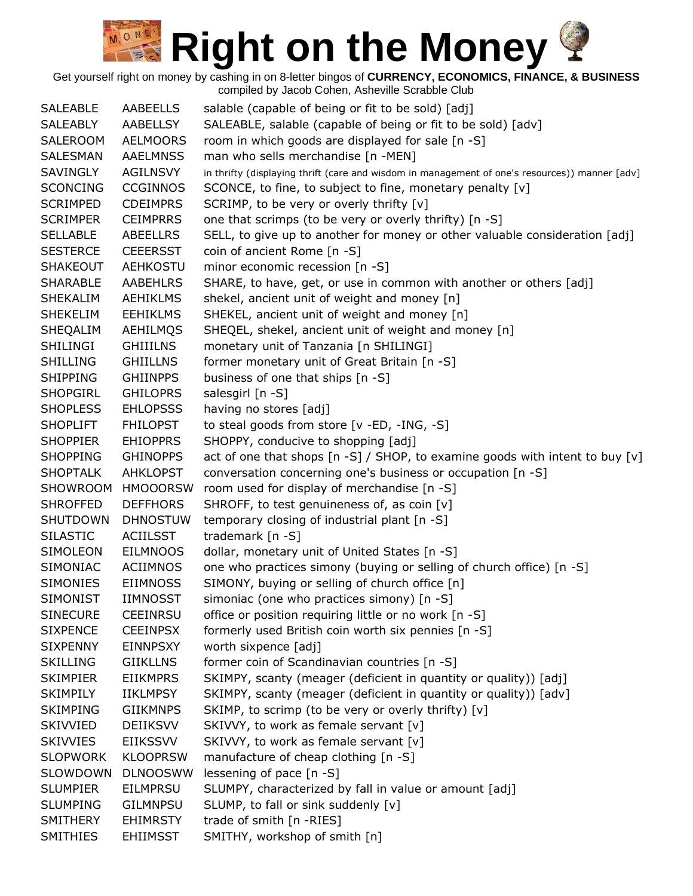Get yourself right on money by cashing in on 8-letter bingos of **CURRENCY, ECONOMICS, FINANCE, & BUSINESS**

| <b>SALEABLE</b> | AABEELLS        | salable (capable of being or fit to be sold) [adj]                                             |
|-----------------|-----------------|------------------------------------------------------------------------------------------------|
| <b>SALEABLY</b> | <b>AABELLSY</b> | SALEABLE, salable (capable of being or fit to be sold) [adv]                                   |
| SALEROOM        | <b>AELMOORS</b> | room in which goods are displayed for sale [n -S]                                              |
| SALESMAN        | <b>AAELMNSS</b> | man who sells merchandise [n -MEN]                                                             |
| <b>SAVINGLY</b> | <b>AGILNSVY</b> | in thrifty (displaying thrift (care and wisdom in management of one's resources)) manner [adv] |
| <b>SCONCING</b> | <b>CCGINNOS</b> | SCONCE, to fine, to subject to fine, monetary penalty [v]                                      |
| <b>SCRIMPED</b> | <b>CDEIMPRS</b> | SCRIMP, to be very or overly thrifty [v]                                                       |
| <b>SCRIMPER</b> | <b>CEIMPRRS</b> | one that scrimps (to be very or overly thrifty) [n -S]                                         |
| <b>SELLABLE</b> | ABEELLRS        | SELL, to give up to another for money or other valuable consideration [adj]                    |
| <b>SESTERCE</b> | <b>CEEERSST</b> | coin of ancient Rome [n -S]                                                                    |
| <b>SHAKEOUT</b> | <b>AEHKOSTU</b> | minor economic recession [n -S]                                                                |
| <b>SHARABLE</b> | <b>AABEHLRS</b> | SHARE, to have, get, or use in common with another or others [adj]                             |
| <b>SHEKALIM</b> | <b>AEHIKLMS</b> | shekel, ancient unit of weight and money [n]                                                   |
| <b>SHEKELIM</b> | <b>EEHIKLMS</b> | SHEKEL, ancient unit of weight and money [n]                                                   |
| SHEQALIM        | AEHILMQS        | SHEQEL, shekel, ancient unit of weight and money [n]                                           |
| SHILINGI        | <b>GHIIILNS</b> | monetary unit of Tanzania [n SHILINGI]                                                         |
| <b>SHILLING</b> | <b>GHIILLNS</b> | former monetary unit of Great Britain [n -S]                                                   |
| <b>SHIPPING</b> | <b>GHIINPPS</b> | business of one that ships [n -S]                                                              |
| <b>SHOPGIRL</b> | <b>GHILOPRS</b> | salesgirl [n -S]                                                                               |
| <b>SHOPLESS</b> | <b>EHLOPSSS</b> | having no stores [adj]                                                                         |
| <b>SHOPLIFT</b> | <b>FHILOPST</b> | to steal goods from store [v -ED, -ING, -S]                                                    |
| <b>SHOPPIER</b> | <b>EHIOPPRS</b> | SHOPPY, conducive to shopping [adj]                                                            |
| <b>SHOPPING</b> | <b>GHINOPPS</b> | act of one that shops $[n -S]$ / SHOP, to examine goods with intent to buy $[v]$               |
| <b>SHOPTALK</b> | <b>AHKLOPST</b> | conversation concerning one's business or occupation [n -S]                                    |
| SHOWROOM        | <b>HMOOORSW</b> | room used for display of merchandise [n -S]                                                    |
| <b>SHROFFED</b> | <b>DEFFHORS</b> | SHROFF, to test genuineness of, as coin [v]                                                    |
| <b>SHUTDOWN</b> | <b>DHNOSTUW</b> | temporary closing of industrial plant [n -S]                                                   |
| <b>SILASTIC</b> | <b>ACIILSST</b> | trademark $[n - S]$                                                                            |
| SIMOLEON        | <b>EILMNOOS</b> | dollar, monetary unit of United States [n -S]                                                  |
| SIMONIAC        | <b>ACIIMNOS</b> | one who practices simony (buying or selling of church office) [n -S]                           |
| SIMONIES        | <b>EIIMNOSS</b> | SIMONY, buying or selling of church office [n]                                                 |
| <b>SIMONIST</b> | <b>IIMNOSST</b> | simoniac (one who practices simony) [n -S]                                                     |
| <b>SINECURE</b> | <b>CEEINRSU</b> | office or position requiring little or no work [n -S]                                          |
| <b>SIXPENCE</b> | <b>CEEINPSX</b> | formerly used British coin worth six pennies [n -S]                                            |
| <b>SIXPENNY</b> | <b>EINNPSXY</b> | worth sixpence [adj]                                                                           |
| <b>SKILLING</b> | <b>GIIKLLNS</b> | former coin of Scandinavian countries [n -S]                                                   |
| <b>SKIMPIER</b> | <b>EIIKMPRS</b> | SKIMPY, scanty (meager (deficient in quantity or quality)) [adj]                               |
| <b>SKIMPILY</b> | <b>IIKLMPSY</b> | SKIMPY, scanty (meager (deficient in quantity or quality)) [adv]                               |
| <b>SKIMPING</b> | <b>GIIKMNPS</b> | SKIMP, to scrimp (to be very or overly thrifty) [v]                                            |
| <b>SKIVVIED</b> | <b>DEIIKSVV</b> | SKIVVY, to work as female servant [v]                                                          |
| <b>SKIVVIES</b> | <b>EIIKSSVV</b> | SKIVVY, to work as female servant [v]                                                          |
| <b>SLOPWORK</b> | <b>KLOOPRSW</b> | manufacture of cheap clothing [n -S]                                                           |
| SLOWDOWN        | <b>DLNOOSWW</b> | lessening of pace [n -S]                                                                       |
| <b>SLUMPIER</b> | <b>EILMPRSU</b> | SLUMPY, characterized by fall in value or amount [adj]                                         |
| <b>SLUMPING</b> | <b>GILMNPSU</b> | SLUMP, to fall or sink suddenly [v]                                                            |
| <b>SMITHERY</b> | <b>EHIMRSTY</b> | trade of smith [n -RIES]                                                                       |
| <b>SMITHIES</b> | <b>EHIIMSST</b> | SMITHY, workshop of smith [n]                                                                  |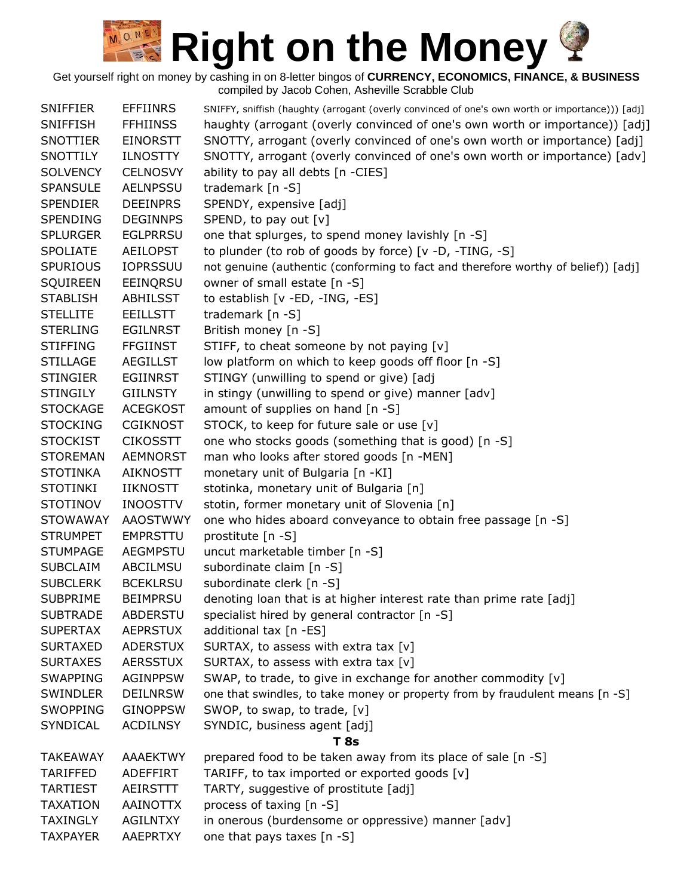| <b>SNIFFIER</b> | <b>EFFIINRS</b> | SNIFFY, sniffish (haughty (arrogant (overly convinced of one's own worth or importance))) [adj] |
|-----------------|-----------------|-------------------------------------------------------------------------------------------------|
| <b>SNIFFISH</b> | <b>FFHIINSS</b> | haughty (arrogant (overly convinced of one's own worth or importance)) [adj]                    |
| <b>SNOTTIER</b> | <b>EINORSTT</b> | SNOTTY, arrogant (overly convinced of one's own worth or importance) [adj]                      |
| SNOTTILY        | <b>ILNOSTTY</b> | SNOTTY, arrogant (overly convinced of one's own worth or importance) [adv]                      |
| <b>SOLVENCY</b> | <b>CELNOSVY</b> | ability to pay all debts [n -CIES]                                                              |
| <b>SPANSULE</b> | <b>AELNPSSU</b> | trademark [n -S]                                                                                |
| <b>SPENDIER</b> | <b>DEEINPRS</b> | SPENDY, expensive [adj]                                                                         |
| <b>SPENDING</b> | <b>DEGINNPS</b> | SPEND, to pay out [v]                                                                           |
| <b>SPLURGER</b> | <b>EGLPRRSU</b> | one that splurges, to spend money lavishly [n -S]                                               |
| <b>SPOLIATE</b> | <b>AEILOPST</b> | to plunder (to rob of goods by force) [v -D, -TING, -S]                                         |
| <b>SPURIOUS</b> | <b>IOPRSSUU</b> | not genuine (authentic (conforming to fact and therefore worthy of belief)) [adj]               |
| <b>SQUIREEN</b> | EEINQRSU        | owner of small estate [n -S]                                                                    |
| <b>STABLISH</b> | <b>ABHILSST</b> | to establish [v -ED, -ING, -ES]                                                                 |
| <b>STELLITE</b> | <b>EEILLSTT</b> | trademark [n -S]                                                                                |
| <b>STERLING</b> | <b>EGILNRST</b> | British money [n -S]                                                                            |
| <b>STIFFING</b> | <b>FFGIINST</b> | STIFF, to cheat someone by not paying [v]                                                       |
| <b>STILLAGE</b> | <b>AEGILLST</b> | low platform on which to keep goods off floor [n -S]                                            |
| <b>STINGIER</b> | <b>EGIINRST</b> | STINGY (unwilling to spend or give) [adj                                                        |
| <b>STINGILY</b> | <b>GIILNSTY</b> | in stingy (unwilling to spend or give) manner [adv]                                             |
| <b>STOCKAGE</b> | <b>ACEGKOST</b> | amount of supplies on hand [n -S]                                                               |
| <b>STOCKING</b> | <b>CGIKNOST</b> | STOCK, to keep for future sale or use [v]                                                       |
| <b>STOCKIST</b> | <b>CIKOSSTT</b> | one who stocks goods (something that is good) [n -S]                                            |
| <b>STOREMAN</b> | <b>AEMNORST</b> | man who looks after stored goods [n -MEN]                                                       |
| <b>STOTINKA</b> | <b>AIKNOSTT</b> | monetary unit of Bulgaria [n -KI]                                                               |
| <b>STOTINKI</b> | <b>IIKNOSTT</b> | stotinka, monetary unit of Bulgaria [n]                                                         |
| <b>STOTINOV</b> | <b>INOOSTTV</b> | stotin, former monetary unit of Slovenia [n]                                                    |
| <b>STOWAWAY</b> | <b>AAOSTWWY</b> | one who hides aboard conveyance to obtain free passage [n -S]                                   |
| <b>STRUMPET</b> | <b>EMPRSTTU</b> | prostitute [n -S]                                                                               |
| <b>STUMPAGE</b> | <b>AEGMPSTU</b> | uncut marketable timber [n -S]                                                                  |
| <b>SUBCLAIM</b> | ABCILMSU        | subordinate claim [n -S]                                                                        |
| <b>SUBCLERK</b> | <b>BCEKLRSU</b> | subordinate clerk [n -S]                                                                        |
| <b>SUBPRIME</b> | <b>BEIMPRSU</b> | denoting loan that is at higher interest rate than prime rate [adj]                             |
| <b>SUBTRADE</b> | ABDERSTU        | specialist hired by general contractor [n -S]                                                   |
| <b>SUPERTAX</b> | <b>AEPRSTUX</b> | additional tax [n -ES]                                                                          |
| <b>SURTAXED</b> | <b>ADERSTUX</b> | SURTAX, to assess with extra tax [v]                                                            |
| <b>SURTAXES</b> | <b>AERSSTUX</b> | SURTAX, to assess with extra tax [v]                                                            |
| <b>SWAPPING</b> | <b>AGINPPSW</b> | SWAP, to trade, to give in exchange for another commodity [v]                                   |
| <b>SWINDLER</b> | <b>DEILNRSW</b> | one that swindles, to take money or property from by fraudulent means [n -S]                    |
| <b>SWOPPING</b> | <b>GINOPPSW</b> | SWOP, to swap, to trade, [v]                                                                    |
| SYNDICAL        | <b>ACDILNSY</b> | SYNDIC, business agent [adj]                                                                    |
|                 |                 | T 8s                                                                                            |
| TAKEAWAY        | <b>AAAEKTWY</b> | prepared food to be taken away from its place of sale [n -S]                                    |
| <b>TARIFFED</b> | <b>ADEFFIRT</b> | TARIFF, to tax imported or exported goods [v]                                                   |
| <b>TARTIEST</b> | AEIRSTTT        | TARTY, suggestive of prostitute [adj]                                                           |
| <b>TAXATION</b> | <b>AAINOTTX</b> | process of taxing [n -S]                                                                        |
| <b>TAXINGLY</b> | <b>AGILNTXY</b> | in onerous (burdensome or oppressive) manner [adv]                                              |
| <b>TAXPAYER</b> | AAEPRTXY        | one that pays taxes [n -S]                                                                      |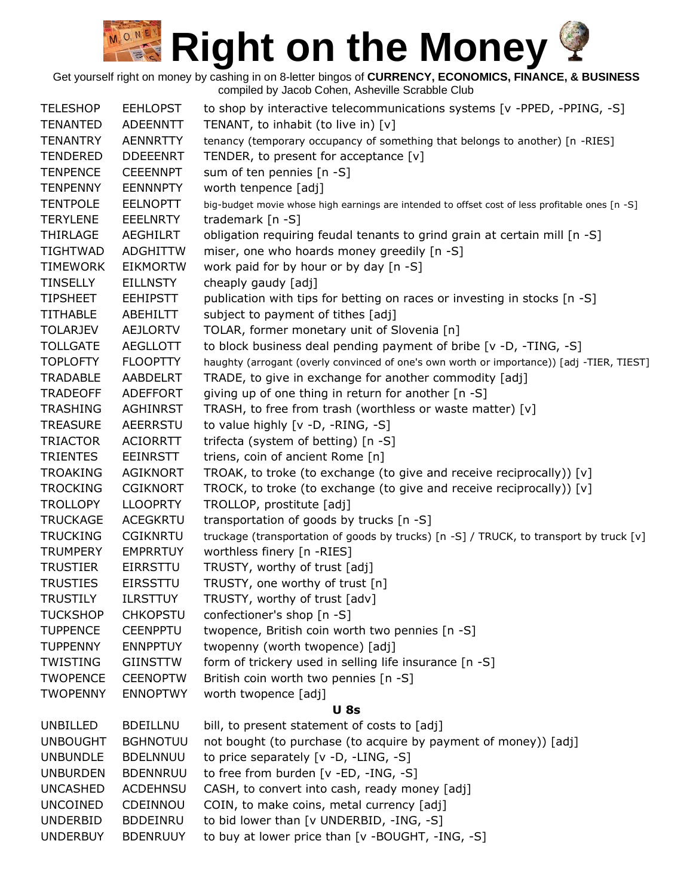| <b>TELESHOP</b> | <b>EEHLOPST</b> | to shop by interactive telecommunications systems [v -PPED, -PPING, -S]                         |
|-----------------|-----------------|-------------------------------------------------------------------------------------------------|
| <b>TENANTED</b> | <b>ADEENNTT</b> | TENANT, to inhabit (to live in) [v]                                                             |
| <b>TENANTRY</b> | <b>AENNRTTY</b> | tenancy (temporary occupancy of something that belongs to another) [n -RIES]                    |
| <b>TENDERED</b> | <b>DDEEENRT</b> | TENDER, to present for acceptance [v]                                                           |
| <b>TENPENCE</b> | <b>CEEENNPT</b> | sum of ten pennies [n -S]                                                                       |
| <b>TENPENNY</b> | <b>EENNNPTY</b> | worth tenpence [adj]                                                                            |
| <b>TENTPOLE</b> | <b>EELNOPTT</b> | big-budget movie whose high earnings are intended to offset cost of less profitable ones [n -S] |
| <b>TERYLENE</b> | <b>EEELNRTY</b> | trademark $[n -S]$                                                                              |
| THIRLAGE        | AEGHILRT        | obligation requiring feudal tenants to grind grain at certain mill [n -S]                       |
| <b>TIGHTWAD</b> | <b>ADGHITTW</b> | miser, one who hoards money greedily [n -S]                                                     |
| <b>TIMEWORK</b> | <b>EIKMORTW</b> | work paid for by hour or by day [n -S]                                                          |
| <b>TINSELLY</b> | <b>EILLNSTY</b> | cheaply gaudy [adj]                                                                             |
| <b>TIPSHEET</b> | <b>EEHIPSTT</b> | publication with tips for betting on races or investing in stocks [n -S]                        |
| <b>TITHABLE</b> | ABEHILTT        | subject to payment of tithes [adj]                                                              |
| <b>TOLARJEV</b> | <b>AEJLORTV</b> | TOLAR, former monetary unit of Slovenia [n]                                                     |
| <b>TOLLGATE</b> | <b>AEGLLOTT</b> | to block business deal pending payment of bribe [v -D, -TING, -S]                               |
| <b>TOPLOFTY</b> | <b>FLOOPTTY</b> | haughty (arrogant (overly convinced of one's own worth or importance)) [adj -TIER, TIEST]       |
| <b>TRADABLE</b> | AABDELRT        | TRADE, to give in exchange for another commodity [adj]                                          |
| <b>TRADEOFF</b> | <b>ADEFFORT</b> | giving up of one thing in return for another [n -S]                                             |
| <b>TRASHING</b> | <b>AGHINRST</b> | TRASH, to free from trash (worthless or waste matter) [v]                                       |
| <b>TREASURE</b> | <b>AEERRSTU</b> | to value highly [v -D, -RING, -S]                                                               |
| <b>TRIACTOR</b> | <b>ACIORRTT</b> | trifecta (system of betting) [n -S]                                                             |
| <b>TRIENTES</b> | <b>EEINRSTT</b> | triens, coin of ancient Rome [n]                                                                |
| <b>TROAKING</b> | <b>AGIKNORT</b> | TROAK, to troke (to exchange (to give and receive reciprocally)) [v]                            |
| <b>TROCKING</b> | <b>CGIKNORT</b> | TROCK, to troke (to exchange (to give and receive reciprocally)) [v]                            |
| <b>TROLLOPY</b> | <b>LLOOPRTY</b> | TROLLOP, prostitute [adj]                                                                       |
| <b>TRUCKAGE</b> | <b>ACEGKRTU</b> | transportation of goods by trucks [n -S]                                                        |
| <b>TRUCKING</b> | <b>CGIKNRTU</b> | truckage (transportation of goods by trucks) [n -S] / TRUCK, to transport by truck [v]          |
| <b>TRUMPERY</b> | <b>EMPRRTUY</b> | worthless finery [n -RIES]                                                                      |
| <b>TRUSTIER</b> | <b>EIRRSTTU</b> | TRUSTY, worthy of trust [adj]                                                                   |
| <b>TRUSTIES</b> | <b>EIRSSTTU</b> | TRUSTY, one worthy of trust [n]                                                                 |
| <b>TRUSTILY</b> | <b>ILRSTTUY</b> | TRUSTY, worthy of trust [adv]                                                                   |
| <b>TUCKSHOP</b> | <b>CHKOPSTU</b> | confectioner's shop [n -S]                                                                      |
| <b>TUPPENCE</b> | <b>CEENPPTU</b> | twopence, British coin worth two pennies [n -S]                                                 |
| <b>TUPPENNY</b> | <b>ENNPPTUY</b> | twopenny (worth twopence) [adj]                                                                 |
| TWISTING        | <b>GIINSTTW</b> | form of trickery used in selling life insurance [n -S]                                          |
| <b>TWOPENCE</b> | <b>CEENOPTW</b> | British coin worth two pennies [n -S]                                                           |
| <b>TWOPENNY</b> | <b>ENNOPTWY</b> | worth twopence [adj]                                                                            |
|                 |                 | <b>U</b> 8s                                                                                     |
| UNBILLED        | <b>BDEILLNU</b> | bill, to present statement of costs to [adj]                                                    |
| <b>UNBOUGHT</b> | <b>BGHNOTUU</b> | not bought (to purchase (to acquire by payment of money)) [adj]                                 |
| <b>UNBUNDLE</b> | <b>BDELNNUU</b> | to price separately [v -D, -LING, -S]                                                           |
| <b>UNBURDEN</b> | <b>BDENNRUU</b> | to free from burden [v -ED, -ING, -S]                                                           |
| <b>UNCASHED</b> | <b>ACDEHNSU</b> | CASH, to convert into cash, ready money [adj]                                                   |
| <b>UNCOINED</b> | CDEINNOU        | COIN, to make coins, metal currency [adj]                                                       |
| <b>UNDERBID</b> | <b>BDDEINRU</b> | to bid lower than [v UNDERBID, -ING, -S]                                                        |
| <b>UNDERBUY</b> | <b>BDENRUUY</b> | to buy at lower price than [v -BOUGHT, -ING, -S]                                                |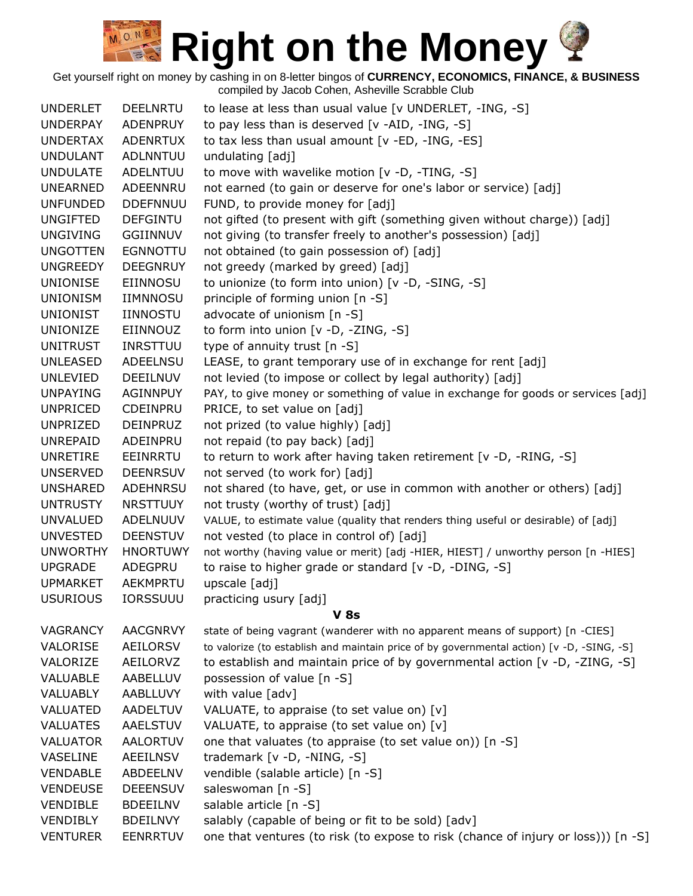| <b>UNDERLET</b>      | <b>DEELNRTU</b>             | to lease at less than usual value [v UNDERLET, -ING, -S]                                  |
|----------------------|-----------------------------|-------------------------------------------------------------------------------------------|
| <b>UNDERPAY</b>      | ADENPRUY                    | to pay less than is deserved [v -AID, -ING, -S]                                           |
| <b>UNDERTAX</b>      | <b>ADENRTUX</b>             | to tax less than usual amount [v -ED, -ING, -ES]                                          |
| <b>UNDULANT</b>      | <b>ADLNNTUU</b>             | undulating [adj]                                                                          |
| <b>UNDULATE</b>      | ADELNTUU                    | to move with wavelike motion [v -D, -TING, -S]                                            |
| <b>UNEARNED</b>      | ADEENNRU                    | not earned (to gain or deserve for one's labor or service) [adj]                          |
| <b>UNFUNDED</b>      | <b>DDEFNNUU</b>             | FUND, to provide money for [adj]                                                          |
| <b>UNGIFTED</b>      | <b>DEFGINTU</b>             | not gifted (to present with gift (something given without charge)) [adj]                  |
| <b>UNGIVING</b>      | GGIINNUV                    | not giving (to transfer freely to another's possession) [adj]                             |
| <b>UNGOTTEN</b>      | <b>EGNNOTTU</b>             | not obtained (to gain possession of) [adj]                                                |
| <b>UNGREEDY</b>      | <b>DEEGNRUY</b>             | not greedy (marked by greed) [adj]                                                        |
| <b>UNIONISE</b>      | EIINNOSU                    | to unionize (to form into union) [v -D, -SING, -S]                                        |
| <b>UNIONISM</b>      | <b>IIMNNOSU</b>             | principle of forming union [n -S]                                                         |
| <b>UNIONIST</b>      | IINNOSTU                    | advocate of unionism [n -S]                                                               |
| <b>UNIONIZE</b>      | EIINNOUZ                    | to form into union [v -D, -ZING, -S]                                                      |
| <b>UNITRUST</b>      | <b>INRSTTUU</b>             | type of annuity trust [n -S]                                                              |
| <b>UNLEASED</b>      | ADEELNSU                    | LEASE, to grant temporary use of in exchange for rent [adj]                               |
| <b>UNLEVIED</b>      | <b>DEEILNUV</b>             | not levied (to impose or collect by legal authority) [adj]                                |
| <b>UNPAYING</b>      | AGINNPUY                    | PAY, to give money or something of value in exchange for goods or services [adj]          |
| <b>UNPRICED</b>      | CDEINPRU                    | PRICE, to set value on [adj]                                                              |
| UNPRIZED             | <b>DEINPRUZ</b>             | not prized (to value highly) [adj]                                                        |
| <b>UNREPAID</b>      | ADEINPRU                    | not repaid (to pay back) [adj]                                                            |
| UNRETIRE             | EEINRRTU                    | to return to work after having taken retirement [v -D, -RING, -S]                         |
| <b>UNSERVED</b>      | <b>DEENRSUV</b>             | not served (to work for) [adj]                                                            |
| <b>UNSHARED</b>      | ADEHNRSU                    | not shared (to have, get, or use in common with another or others) [adj]                  |
| <b>UNTRUSTY</b>      | <b>NRSTTUUY</b>             | not trusty (worthy of trust) [adj]                                                        |
| <b>UNVALUED</b>      | ADELNUUV                    | VALUE, to estimate value (quality that renders thing useful or desirable) of [adj]        |
| <b>UNVESTED</b>      | <b>DEENSTUV</b>             | not vested (to place in control of) [adj]                                                 |
| <b>UNWORTHY</b>      | <b>HNORTUWY</b>             | not worthy (having value or merit) [adj -HIER, HIEST] / unworthy person [n -HIES]         |
| <b>UPGRADE</b>       | ADEGPRU                     | to raise to higher grade or standard [v -D, -DING, -S]                                    |
| <b>UPMARKET</b>      | AEKMPRTU                    | upscale [adj]                                                                             |
| <b>USURIOUS</b>      | <b>IORSSUUU</b>             | practicing usury [adj]                                                                    |
|                      |                             | V 8s                                                                                      |
| VAGRANCY             | <b>AACGNRVY</b>             | state of being vagrant (wanderer with no apparent means of support) [n -CIES]             |
| VALORISE             | <b>AEILORSV</b>             | to valorize (to establish and maintain price of by governmental action) [v -D, -SING, -S] |
| VALORIZE             | AEILORVZ                    | to establish and maintain price of by governmental action [v -D, -ZING, -S]               |
| VALUABLE<br>VALUABLY | AABELLUV<br>AABLLUVY        | possession of value [n -S]<br>with value [adv]                                            |
| VALUATED             |                             | VALUATE, to appraise (to set value on) [v]                                                |
| <b>VALUATES</b>      | AADELTUV<br><b>AAELSTUV</b> | VALUATE, to appraise (to set value on) [v]                                                |
| <b>VALUATOR</b>      | AALORTUV                    | one that valuates (to appraise (to set value on)) [n -S]                                  |
| VASELINE             | <b>AEEILNSV</b>             |                                                                                           |
| <b>VENDABLE</b>      | ABDEELNV                    | trademark [v -D, -NING, -S]<br>vendible (salable article) [n -S]                          |
| <b>VENDEUSE</b>      | <b>DEEENSUV</b>             | saleswoman [n -S]                                                                         |
| <b>VENDIBLE</b>      | <b>BDEEILNV</b>             | salable article [n -S]                                                                    |
| <b>VENDIBLY</b>      | <b>BDEILNVY</b>             | salably (capable of being or fit to be sold) [adv]                                        |
| <b>VENTURER</b>      | <b>EENRRTUV</b>             | one that ventures (to risk (to expose to risk (chance of injury or loss))) [n -S]         |
|                      |                             |                                                                                           |